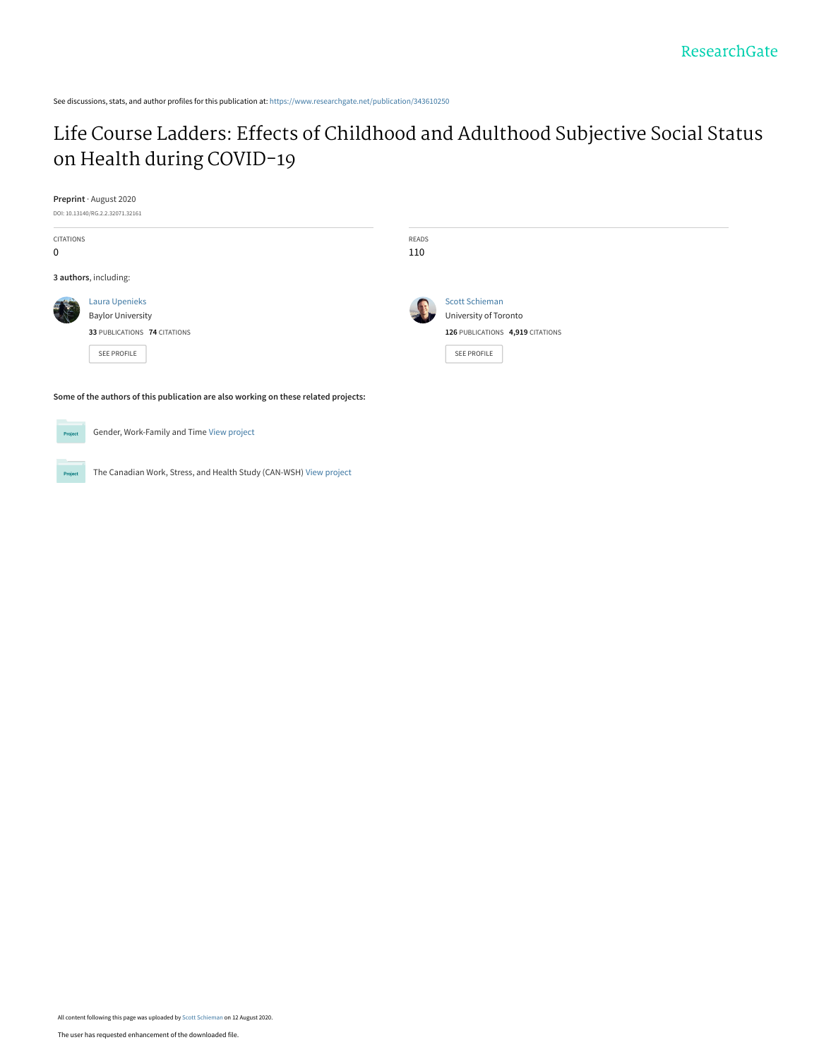# [Life Course Ladders: Effects of Childhood and Adulthood Subjective Social Status](https://www.researchgate.net/publication/343610250_Life_Course_Ladders_Effects_of_Childhood_and_Adulthood_Subjective_Social_Status_on_Health_during_COVID-19?enrichId=rgreq-dfff6257ec19d2381168972680410a1c-XXX&enrichSource=Y292ZXJQYWdlOzM0MzYxMDI1MDtBUzo5MjM3MTk4MTU5MjE2NjZAMTU5NzI0MzM3NDkzMw%3D%3D&el=1_x_3&_esc=publicationCoverPdf) on Health during COVID-19

#### **Preprint** · August 2020

DOI: 10.13140/RG.2.2.32071.32161

| CITATIONS<br>0 |                                                                                                                                  | READS<br>110 |                                                                                                          |
|----------------|----------------------------------------------------------------------------------------------------------------------------------|--------------|----------------------------------------------------------------------------------------------------------|
|                | 3 authors, including:                                                                                                            |              |                                                                                                          |
|                | <b>Laura Upenieks</b><br><b>Baylor University</b><br>33 PUBLICATIONS 74 CITATIONS<br>SEE PROFILE                                 |              | <b>Scott Schieman</b><br>University of Toronto<br>126 PUBLICATIONS 4,919 CITATIONS<br><b>SEE PROFILE</b> |
| Project        | Some of the authors of this publication are also working on these related projects:<br>Gender, Work-Family and Time View project |              |                                                                                                          |

**Project** The Canadian Work, Stress, and Health Study (CAN-WSH) [View project](https://www.researchgate.net/project/The-Canadian-Work-Stress-and-Health-Study-CAN-WSH?enrichId=rgreq-dfff6257ec19d2381168972680410a1c-XXX&enrichSource=Y292ZXJQYWdlOzM0MzYxMDI1MDtBUzo5MjM3MTk4MTU5MjE2NjZAMTU5NzI0MzM3NDkzMw%3D%3D&el=1_x_9&_esc=publicationCoverPdf)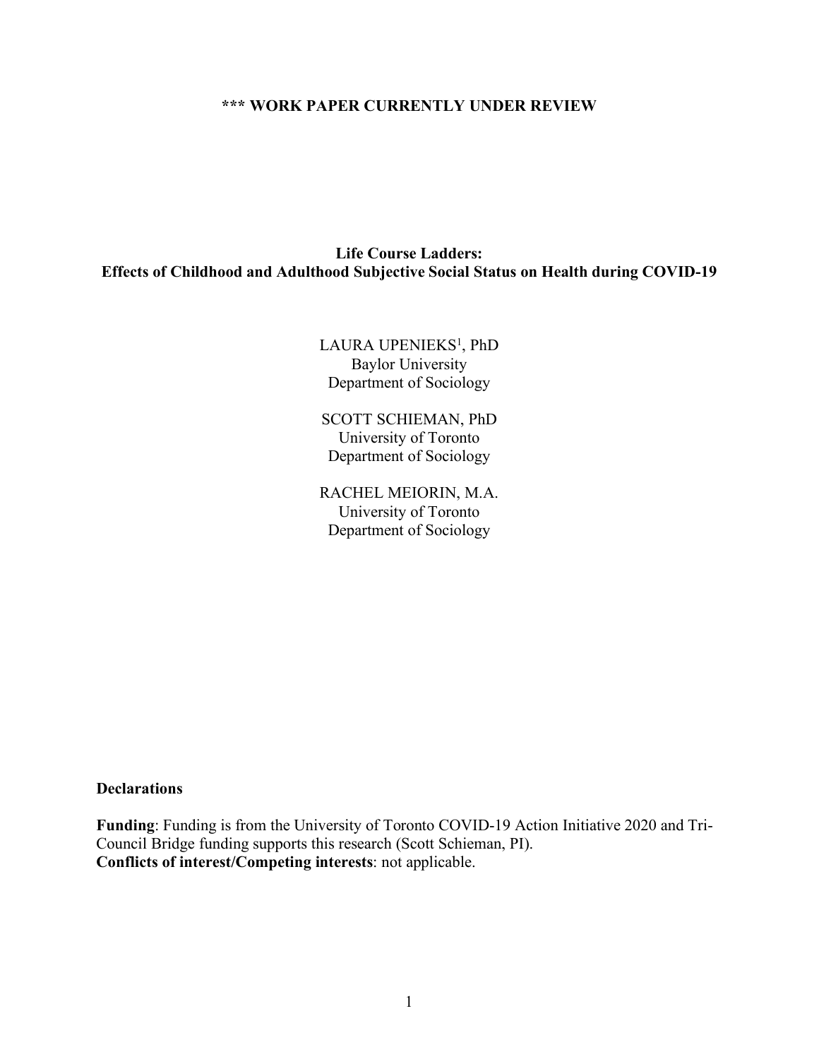## **\*\*\* WORK PAPER CURRENTLY UNDER REVIEW**

## **Life Course Ladders: Effects of Childhood and Adulthood Subjective Social Status on Health during COVID-19**

## LAURA UPENIEKS<sup>1</sup>, PhD Baylor University Department of Sociology

SCOTT SCHIEMAN, PhD University of Toronto Department of Sociology

RACHEL MEIORIN, M.A. University of Toronto Department of Sociology

## **Declarations**

**Funding**: Funding is from the University of Toronto COVID-19 Action Initiative 2020 and Tri-Council Bridge funding supports this research (Scott Schieman, PI). **Conflicts of interest/Competing interests**: not applicable.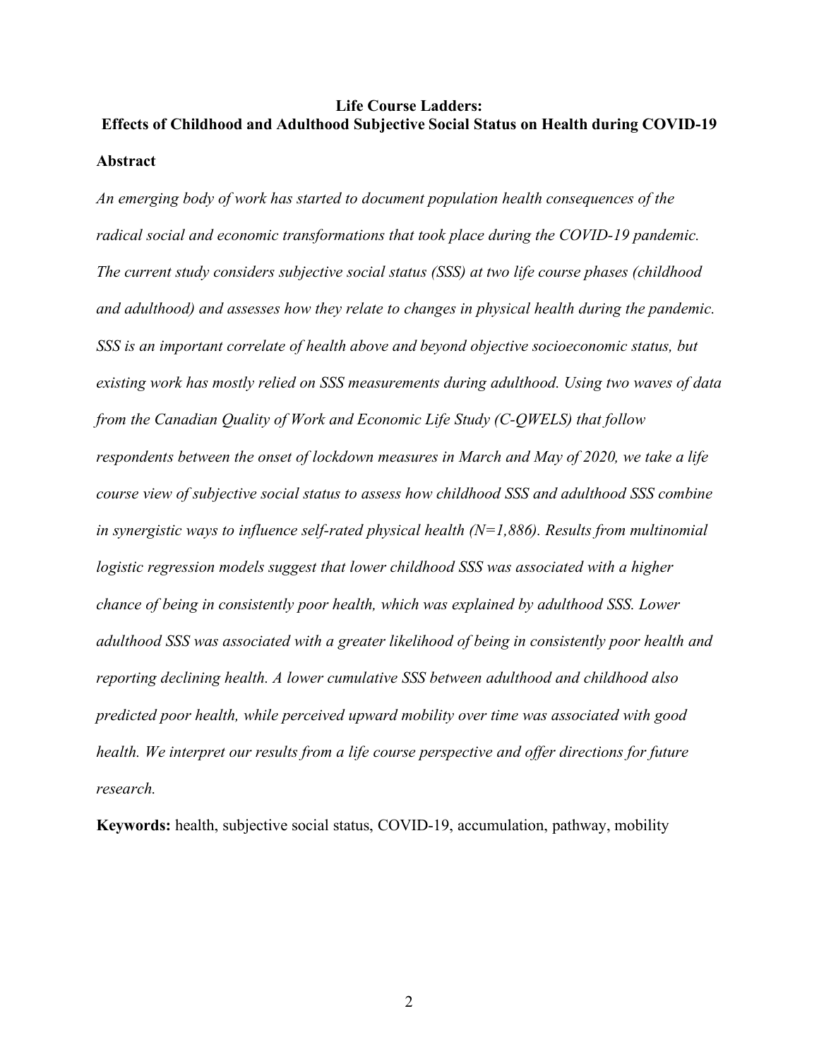# **Life Course Ladders: Effects of Childhood and Adulthood Subjective Social Status on Health during COVID-19 Abstract**

*An emerging body of work has started to document population health consequences of the radical social and economic transformations that took place during the COVID-19 pandemic. The current study considers subjective social status (SSS) at two life course phases (childhood and adulthood) and assesses how they relate to changes in physical health during the pandemic. SSS is an important correlate of health above and beyond objective socioeconomic status, but existing work has mostly relied on SSS measurements during adulthood. Using two waves of data from the Canadian Quality of Work and Economic Life Study (C-QWELS) that follow respondents between the onset of lockdown measures in March and May of 2020, we take a life course view of subjective social status to assess how childhood SSS and adulthood SSS combine in synergistic ways to influence self-rated physical health (N=1,886). Results from multinomial logistic regression models suggest that lower childhood SSS was associated with a higher chance of being in consistently poor health, which was explained by adulthood SSS. Lower adulthood SSS was associated with a greater likelihood of being in consistently poor health and reporting declining health. A lower cumulative SSS between adulthood and childhood also predicted poor health, while perceived upward mobility over time was associated with good health. We interpret our results from a life course perspective and offer directions for future research.*

**Keywords:** health, subjective social status, COVID-19, accumulation, pathway, mobility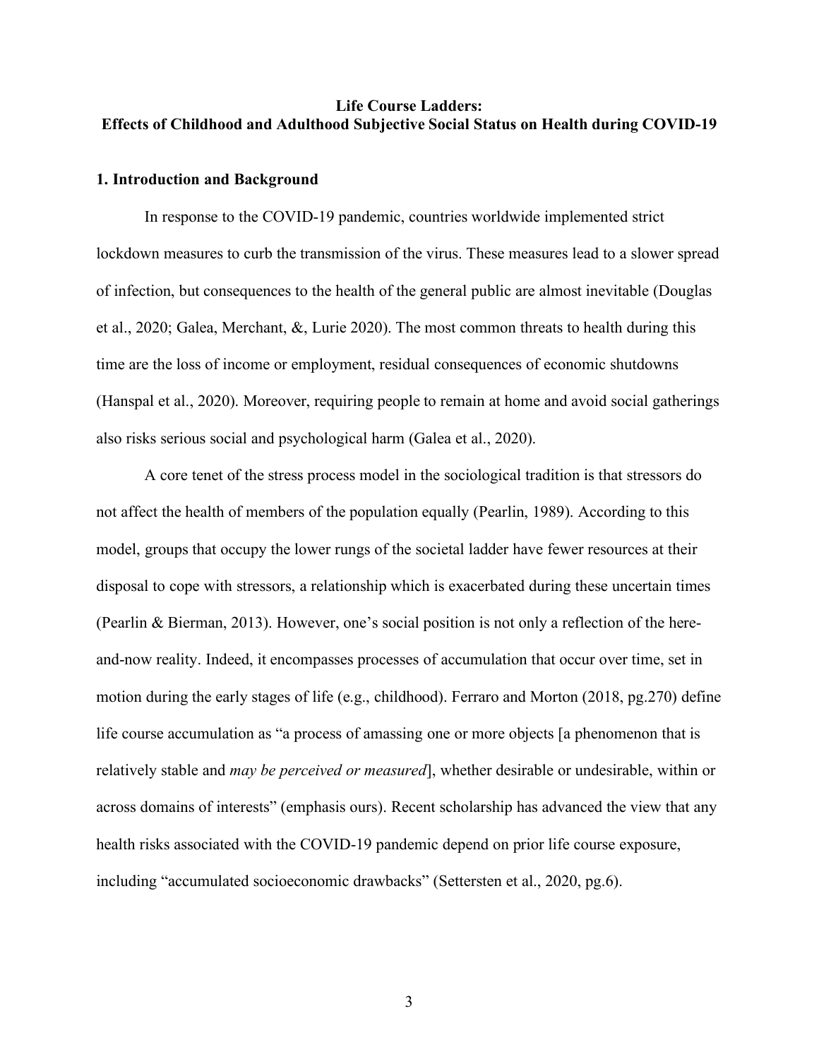## **Life Course Ladders: Effects of Childhood and Adulthood Subjective Social Status on Health during COVID-19**

#### **1. Introduction and Background**

In response to the COVID-19 pandemic, countries worldwide implemented strict lockdown measures to curb the transmission of the virus. These measures lead to a slower spread of infection, but consequences to the health of the general public are almost inevitable (Douglas et al., 2020; Galea, Merchant, &, Lurie 2020). The most common threats to health during this time are the loss of income or employment, residual consequences of economic shutdowns (Hanspal et al., 2020). Moreover, requiring people to remain at home and avoid social gatherings also risks serious social and psychological harm (Galea et al., 2020).

A core tenet of the stress process model in the sociological tradition is that stressors do not affect the health of members of the population equally (Pearlin, 1989). According to this model, groups that occupy the lower rungs of the societal ladder have fewer resources at their disposal to cope with stressors, a relationship which is exacerbated during these uncertain times (Pearlin & Bierman, 2013). However, one's social position is not only a reflection of the hereand-now reality. Indeed, it encompasses processes of accumulation that occur over time, set in motion during the early stages of life (e.g., childhood). Ferraro and Morton (2018, pg.270) define life course accumulation as "a process of amassing one or more objects [a phenomenon that is relatively stable and *may be perceived or measured*], whether desirable or undesirable, within or across domains of interests" (emphasis ours). Recent scholarship has advanced the view that any health risks associated with the COVID-19 pandemic depend on prior life course exposure, including "accumulated socioeconomic drawbacks" (Settersten et al., 2020, pg.6).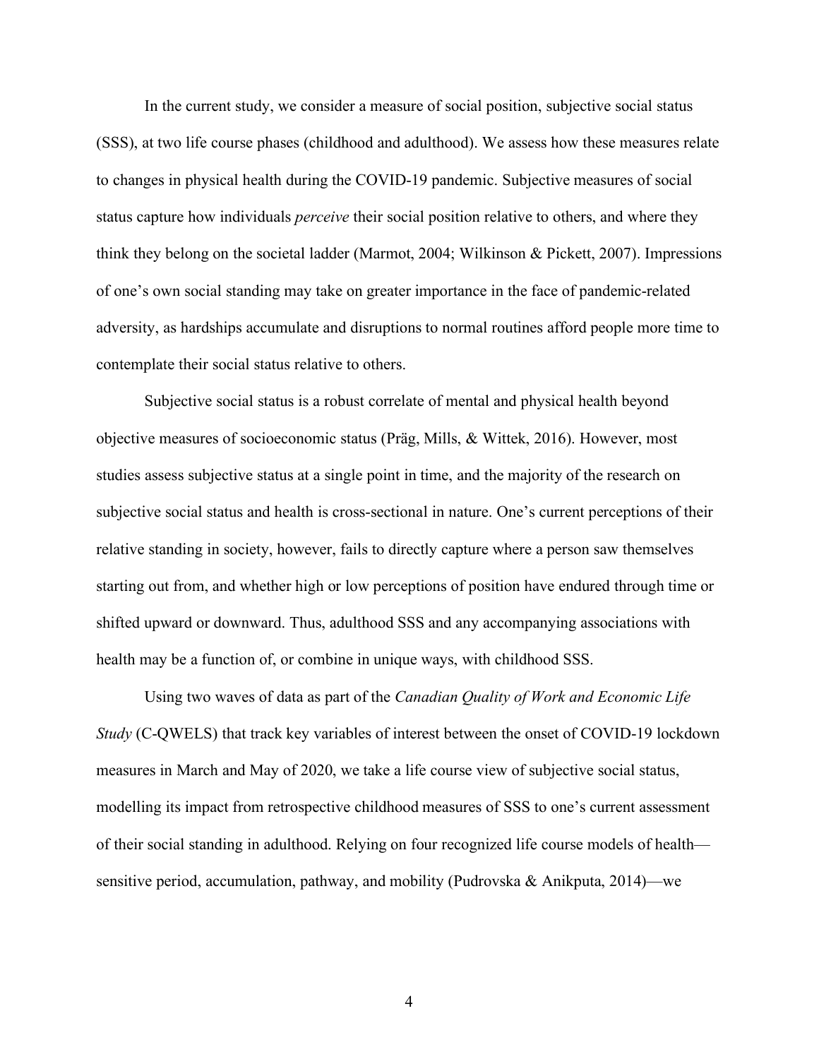In the current study, we consider a measure of social position, subjective social status (SSS), at two life course phases (childhood and adulthood). We assess how these measures relate to changes in physical health during the COVID-19 pandemic. Subjective measures of social status capture how individuals *perceive* their social position relative to others, and where they think they belong on the societal ladder (Marmot, 2004; Wilkinson & Pickett, 2007). Impressions of one's own social standing may take on greater importance in the face of pandemic-related adversity, as hardships accumulate and disruptions to normal routines afford people more time to contemplate their social status relative to others.

Subjective social status is a robust correlate of mental and physical health beyond objective measures of socioeconomic status (Präg, Mills, & Wittek, 2016). However, most studies assess subjective status at a single point in time, and the majority of the research on subjective social status and health is cross-sectional in nature. One's current perceptions of their relative standing in society, however, fails to directly capture where a person saw themselves starting out from, and whether high or low perceptions of position have endured through time or shifted upward or downward. Thus, adulthood SSS and any accompanying associations with health may be a function of, or combine in unique ways, with childhood SSS.

Using two waves of data as part of the *Canadian Quality of Work and Economic Life Study* (C-QWELS) that track key variables of interest between the onset of COVID-19 lockdown measures in March and May of 2020, we take a life course view of subjective social status, modelling its impact from retrospective childhood measures of SSS to one's current assessment of their social standing in adulthood. Relying on four recognized life course models of health sensitive period, accumulation, pathway, and mobility (Pudrovska & Anikputa, 2014)—we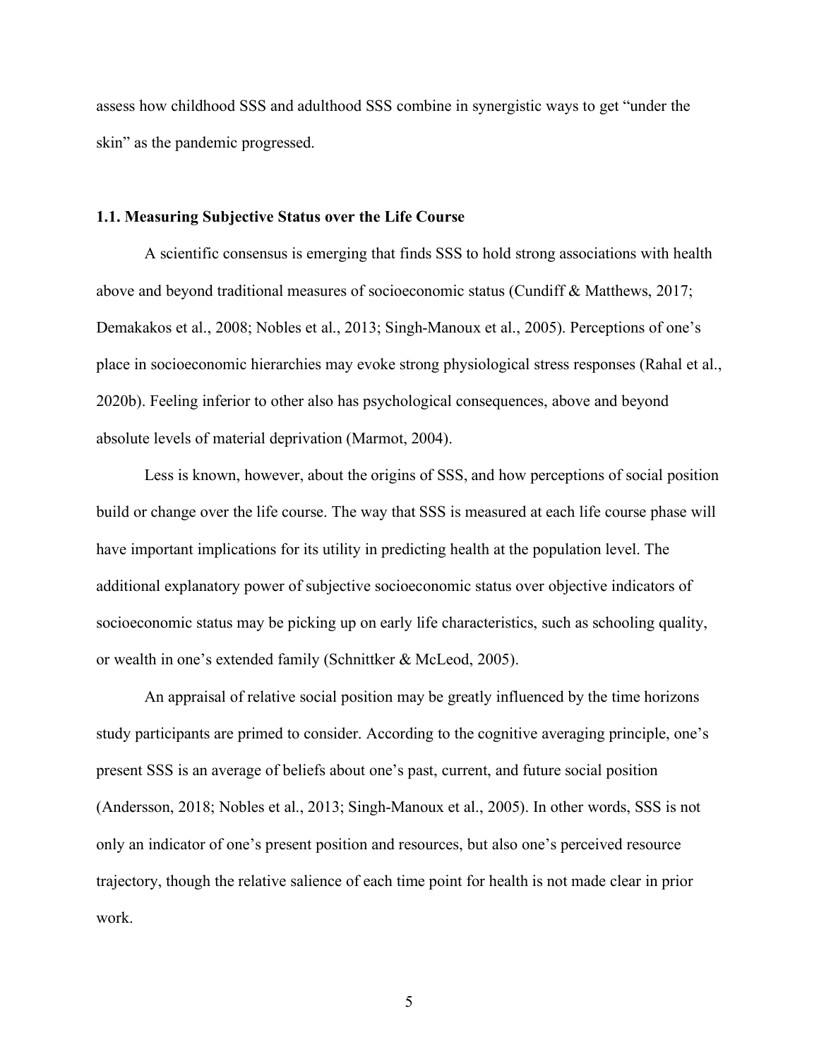assess how childhood SSS and adulthood SSS combine in synergistic ways to get "under the skin" as the pandemic progressed.

#### **1.1. Measuring Subjective Status over the Life Course**

A scientific consensus is emerging that finds SSS to hold strong associations with health above and beyond traditional measures of socioeconomic status (Cundiff & Matthews, 2017; Demakakos et al., 2008; Nobles et al., 2013; Singh-Manoux et al., 2005). Perceptions of one's place in socioeconomic hierarchies may evoke strong physiological stress responses (Rahal et al., 2020b). Feeling inferior to other also has psychological consequences, above and beyond absolute levels of material deprivation (Marmot, 2004).

Less is known, however, about the origins of SSS, and how perceptions of social position build or change over the life course. The way that SSS is measured at each life course phase will have important implications for its utility in predicting health at the population level. The additional explanatory power of subjective socioeconomic status over objective indicators of socioeconomic status may be picking up on early life characteristics, such as schooling quality, or wealth in one's extended family (Schnittker & McLeod, 2005).

An appraisal of relative social position may be greatly influenced by the time horizons study participants are primed to consider. According to the cognitive averaging principle, one's present SSS is an average of beliefs about one's past, current, and future social position (Andersson, 2018; Nobles et al., 2013; Singh-Manoux et al., 2005). In other words, SSS is not only an indicator of one's present position and resources, but also one's perceived resource trajectory, though the relative salience of each time point for health is not made clear in prior work.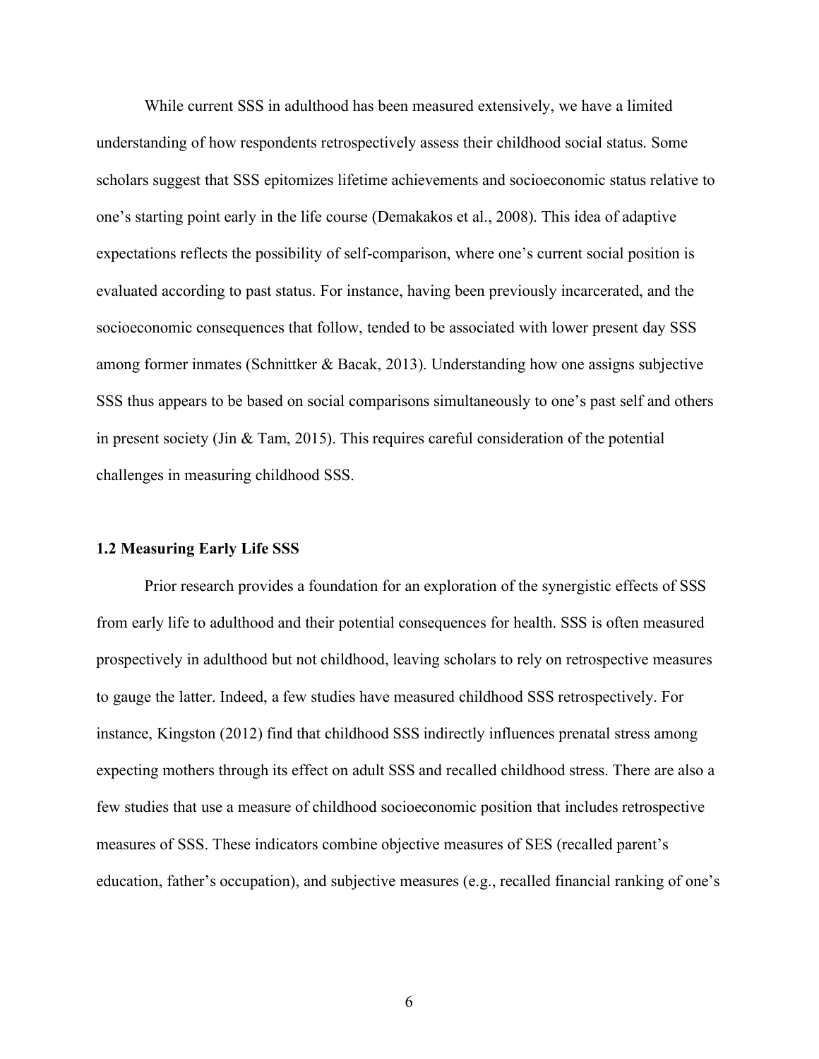While current SSS in adulthood has been measured extensively, we have a limited understanding of how respondents retrospectively assess their childhood social status. Some scholars suggest that SSS epitomizes lifetime achievements and socioeconomic status relative to one's starting point early in the life course (Demakakos et al., 2008). This idea of adaptive expectations reflects the possibility of self-comparison, where one's current social position is evaluated according to past status. For instance, having been previously incarcerated, and the socioeconomic consequences that follow, tended to be associated with lower present day SSS among former inmates (Schnittker & Bacak, 2013). Understanding how one assigns subjective SSS thus appears to be based on social comparisons simultaneously to one's past self and others in present society (Jin & Tam, 2015). This requires careful consideration of the potential challenges in measuring childhood SSS.

#### **1.2 Measuring Early Life SSS**

Prior research provides a foundation for an exploration of the synergistic effects of SSS from early life to adulthood and their potential consequences for health. SSS is often measured prospectively in adulthood but not childhood, leaving scholars to rely on retrospective measures to gauge the latter. Indeed, a few studies have measured childhood SSS retrospectively. For instance, Kingston (2012) find that childhood SSS indirectly influences prenatal stress among expecting mothers through its effect on adult SSS and recalled childhood stress. There are also a few studies that use a measure of childhood socioeconomic position that includes retrospective measures of SSS. These indicators combine objective measures of SES (recalled parent's education, father's occupation), and subjective measures (e.g., recalled financial ranking of one's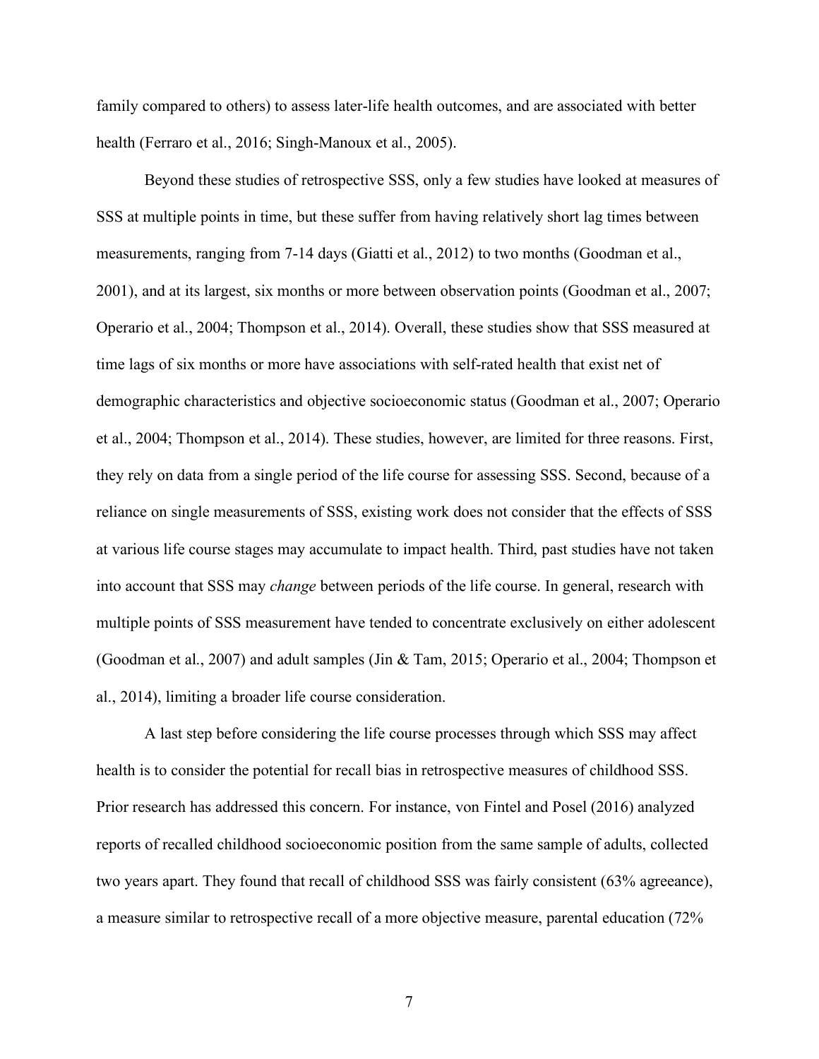family compared to others) to assess later-life health outcomes, and are associated with better health (Ferraro et al., 2016; Singh-Manoux et al., 2005).

Beyond these studies of retrospective SSS, only a few studies have looked at measures of SSS at multiple points in time, but these suffer from having relatively short lag times between measurements, ranging from 7-14 days (Giatti et al., 2012) to two months (Goodman et al., 2001), and at its largest, six months or more between observation points (Goodman et al., 2007; Operario et al., 2004; Thompson et al., 2014). Overall, these studies show that SSS measured at time lags of six months or more have associations with self-rated health that exist net of demographic characteristics and objective socioeconomic status (Goodman et al., 2007; Operario et al., 2004; Thompson et al., 2014). These studies, however, are limited for three reasons. First, they rely on data from a single period of the life course for assessing SSS. Second, because of a reliance on single measurements of SSS, existing work does not consider that the effects of SSS at various life course stages may accumulate to impact health. Third, past studies have not taken into account that SSS may *change* between periods of the life course. In general, research with multiple points of SSS measurement have tended to concentrate exclusively on either adolescent (Goodman et al., 2007) and adult samples (Jin & Tam, 2015; Operario et al., 2004; Thompson et al., 2014), limiting a broader life course consideration.

A last step before considering the life course processes through which SSS may affect health is to consider the potential for recall bias in retrospective measures of childhood SSS. Prior research has addressed this concern. For instance, von Fintel and Posel (2016) analyzed reports of recalled childhood socioeconomic position from the same sample of adults, collected two years apart. They found that recall of childhood SSS was fairly consistent (63% agreeance), a measure similar to retrospective recall of a more objective measure, parental education (72%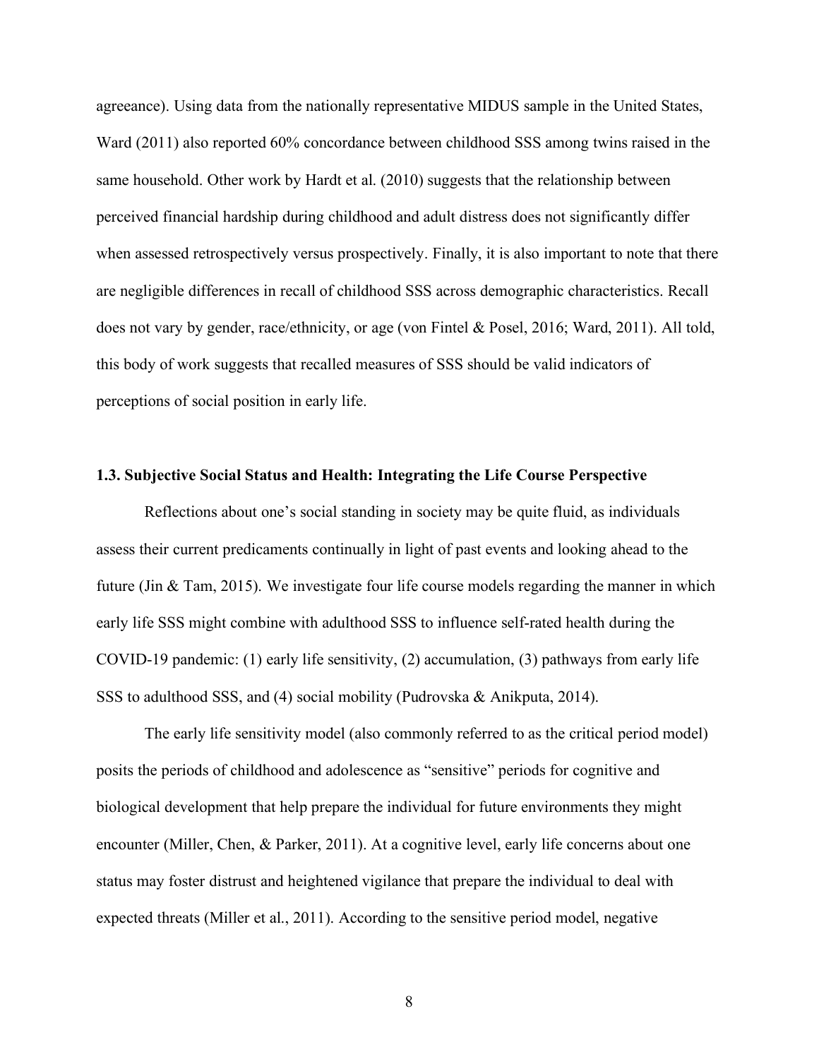agreeance). Using data from the nationally representative MIDUS sample in the United States, Ward (2011) also reported 60% concordance between childhood SSS among twins raised in the same household. Other work by Hardt et al. (2010) suggests that the relationship between perceived financial hardship during childhood and adult distress does not significantly differ when assessed retrospectively versus prospectively. Finally, it is also important to note that there are negligible differences in recall of childhood SSS across demographic characteristics. Recall does not vary by gender, race/ethnicity, or age (von Fintel & Posel, 2016; Ward, 2011). All told, this body of work suggests that recalled measures of SSS should be valid indicators of perceptions of social position in early life.

#### **1.3. Subjective Social Status and Health: Integrating the Life Course Perspective**

Reflections about one's social standing in society may be quite fluid, as individuals assess their current predicaments continually in light of past events and looking ahead to the future (Jin & Tam, 2015). We investigate four life course models regarding the manner in which early life SSS might combine with adulthood SSS to influence self-rated health during the COVID-19 pandemic: (1) early life sensitivity, (2) accumulation, (3) pathways from early life SSS to adulthood SSS, and (4) social mobility (Pudrovska & Anikputa, 2014).

The early life sensitivity model (also commonly referred to as the critical period model) posits the periods of childhood and adolescence as "sensitive" periods for cognitive and biological development that help prepare the individual for future environments they might encounter (Miller, Chen, & Parker, 2011). At a cognitive level, early life concerns about one status may foster distrust and heightened vigilance that prepare the individual to deal with expected threats (Miller et al., 2011). According to the sensitive period model, negative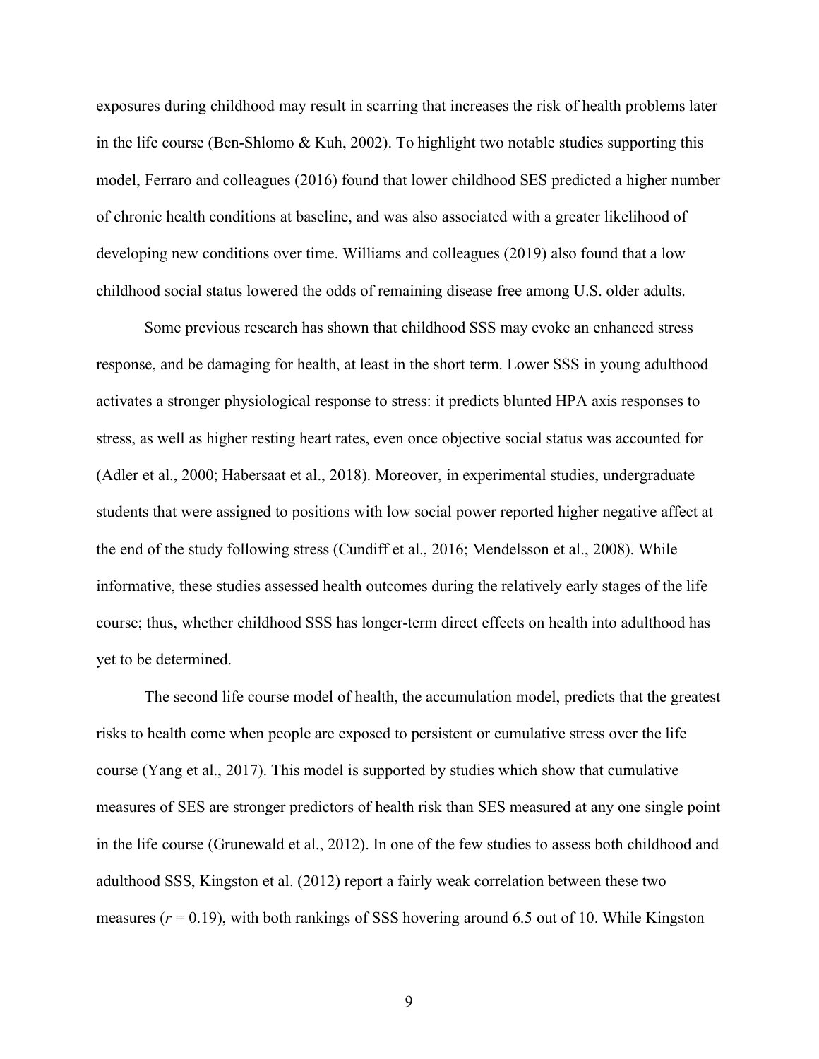exposures during childhood may result in scarring that increases the risk of health problems later in the life course (Ben-Shlomo  $& Kuh, 2002$ ). To highlight two notable studies supporting this model, Ferraro and colleagues (2016) found that lower childhood SES predicted a higher number of chronic health conditions at baseline, and was also associated with a greater likelihood of developing new conditions over time. Williams and colleagues (2019) also found that a low childhood social status lowered the odds of remaining disease free among U.S. older adults.

Some previous research has shown that childhood SSS may evoke an enhanced stress response, and be damaging for health, at least in the short term. Lower SSS in young adulthood activates a stronger physiological response to stress: it predicts blunted HPA axis responses to stress, as well as higher resting heart rates, even once objective social status was accounted for (Adler et al., 2000; Habersaat et al., 2018). Moreover, in experimental studies, undergraduate students that were assigned to positions with low social power reported higher negative affect at the end of the study following stress (Cundiff et al., 2016; Mendelsson et al., 2008). While informative, these studies assessed health outcomes during the relatively early stages of the life course; thus, whether childhood SSS has longer-term direct effects on health into adulthood has yet to be determined.

The second life course model of health, the accumulation model, predicts that the greatest risks to health come when people are exposed to persistent or cumulative stress over the life course (Yang et al., 2017). This model is supported by studies which show that cumulative measures of SES are stronger predictors of health risk than SES measured at any one single point in the life course (Grunewald et al., 2012). In one of the few studies to assess both childhood and adulthood SSS, Kingston et al. (2012) report a fairly weak correlation between these two measures  $(r = 0.19)$ , with both rankings of SSS hovering around 6.5 out of 10. While Kingston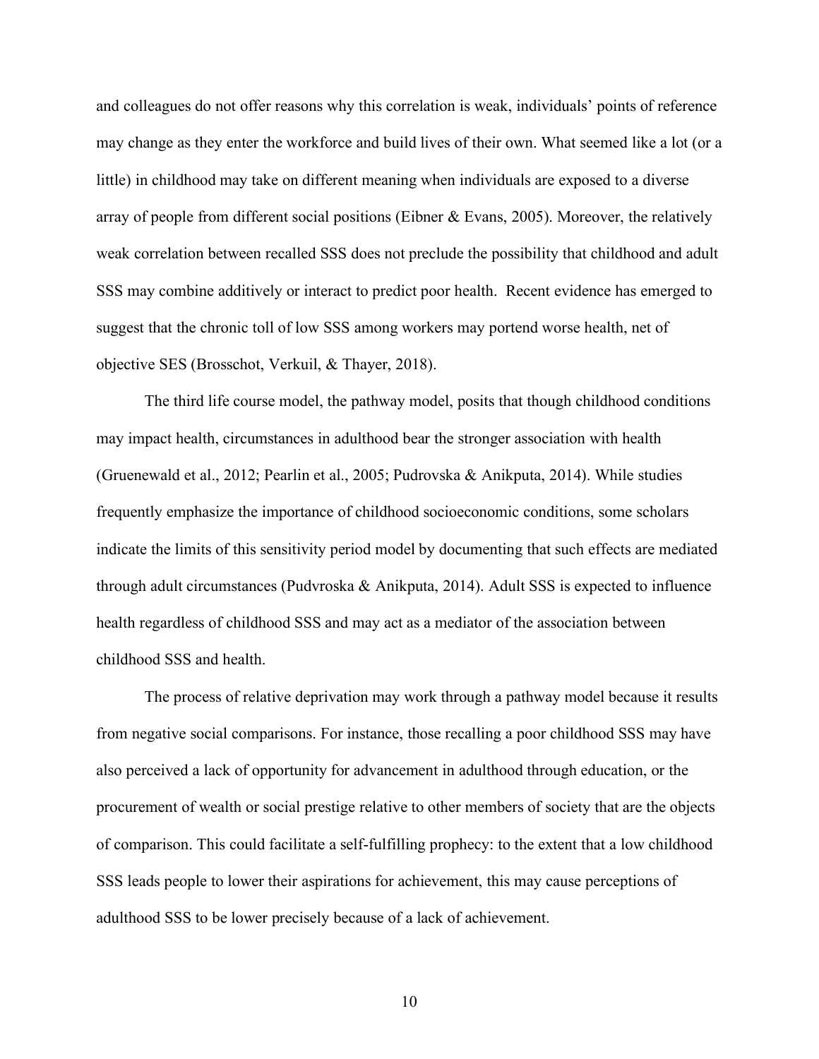and colleagues do not offer reasons why this correlation is weak, individuals' points of reference may change as they enter the workforce and build lives of their own. What seemed like a lot (or a little) in childhood may take on different meaning when individuals are exposed to a diverse array of people from different social positions (Eibner & Evans, 2005). Moreover, the relatively weak correlation between recalled SSS does not preclude the possibility that childhood and adult SSS may combine additively or interact to predict poor health. Recent evidence has emerged to suggest that the chronic toll of low SSS among workers may portend worse health, net of objective SES (Brosschot, Verkuil, & Thayer, 2018).

The third life course model, the pathway model, posits that though childhood conditions may impact health, circumstances in adulthood bear the stronger association with health (Gruenewald et al., 2012; Pearlin et al., 2005; Pudrovska & Anikputa, 2014). While studies frequently emphasize the importance of childhood socioeconomic conditions, some scholars indicate the limits of this sensitivity period model by documenting that such effects are mediated through adult circumstances (Pudvroska & Anikputa, 2014). Adult SSS is expected to influence health regardless of childhood SSS and may act as a mediator of the association between childhood SSS and health.

The process of relative deprivation may work through a pathway model because it results from negative social comparisons. For instance, those recalling a poor childhood SSS may have also perceived a lack of opportunity for advancement in adulthood through education, or the procurement of wealth or social prestige relative to other members of society that are the objects of comparison. This could facilitate a self-fulfilling prophecy: to the extent that a low childhood SSS leads people to lower their aspirations for achievement, this may cause perceptions of adulthood SSS to be lower precisely because of a lack of achievement.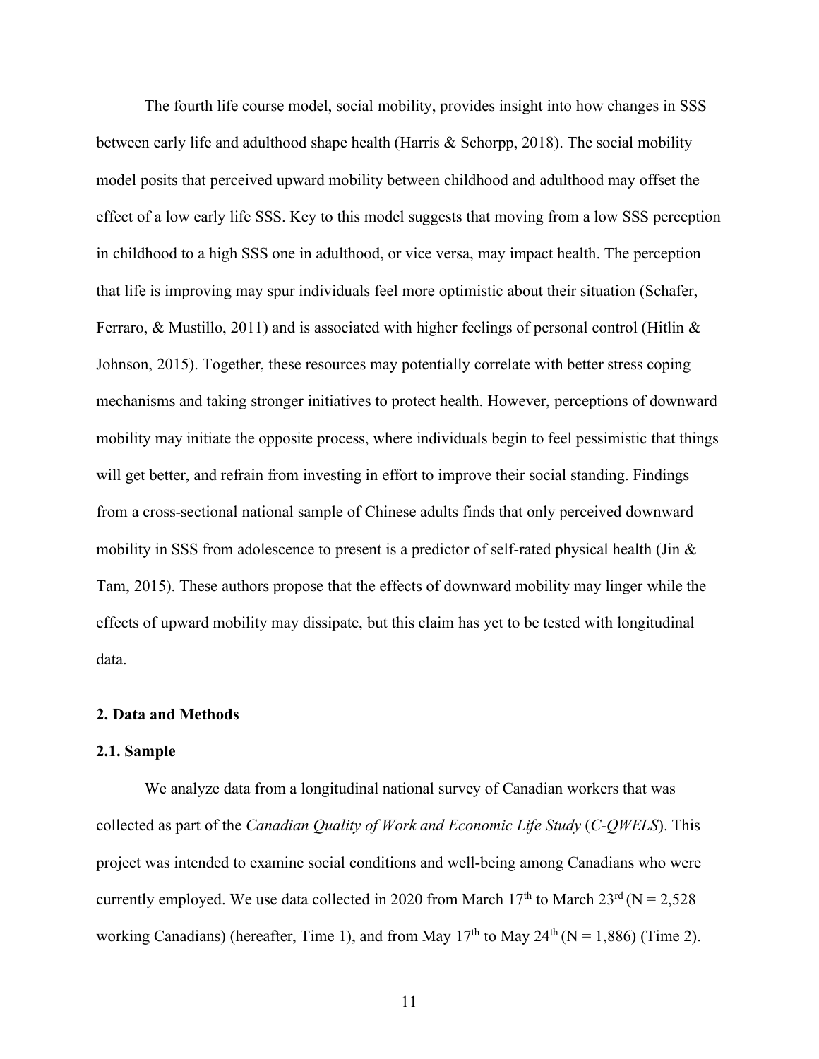The fourth life course model, social mobility, provides insight into how changes in SSS between early life and adulthood shape health (Harris & Schorpp, 2018). The social mobility model posits that perceived upward mobility between childhood and adulthood may offset the effect of a low early life SSS. Key to this model suggests that moving from a low SSS perception in childhood to a high SSS one in adulthood, or vice versa, may impact health. The perception that life is improving may spur individuals feel more optimistic about their situation (Schafer, Ferraro, & Mustillo, 2011) and is associated with higher feelings of personal control (Hitlin  $\&$ Johnson, 2015). Together, these resources may potentially correlate with better stress coping mechanisms and taking stronger initiatives to protect health. However, perceptions of downward mobility may initiate the opposite process, where individuals begin to feel pessimistic that things will get better, and refrain from investing in effort to improve their social standing. Findings from a cross-sectional national sample of Chinese adults finds that only perceived downward mobility in SSS from adolescence to present is a predictor of self-rated physical health (Jin  $\&$ Tam, 2015). These authors propose that the effects of downward mobility may linger while the effects of upward mobility may dissipate, but this claim has yet to be tested with longitudinal data.

## **2. Data and Methods**

#### **2.1. Sample**

We analyze data from a longitudinal national survey of Canadian workers that was collected as part of the *Canadian Quality of Work and Economic Life Study* (*C-QWELS*). This project was intended to examine social conditions and well-being among Canadians who were currently employed. We use data collected in 2020 from March  $17<sup>th</sup>$  to March  $23<sup>rd</sup>$  (N = 2,528) working Canadians) (hereafter, Time 1), and from May  $17<sup>th</sup>$  to May  $24<sup>th</sup>$  (N = 1,886) (Time 2).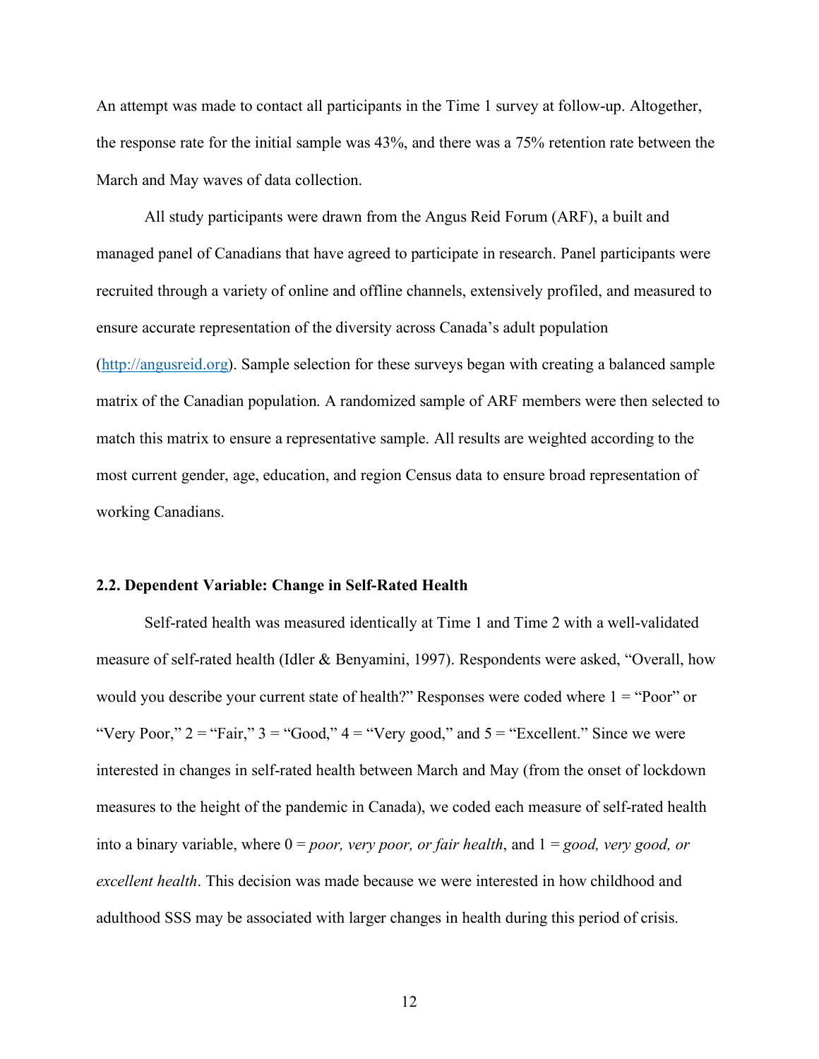An attempt was made to contact all participants in the Time 1 survey at follow-up. Altogether, the response rate for the initial sample was 43%, and there was a 75% retention rate between the March and May waves of data collection.

All study participants were drawn from the Angus Reid Forum (ARF), a built and managed panel of Canadians that have agreed to participate in research. Panel participants were recruited through a variety of online and offline channels, extensively profiled, and measured to ensure accurate representation of the diversity across Canada's adult population (http://angusreid.org). Sample selection for these surveys began with creating a balanced sample matrix of the Canadian population. A randomized sample of ARF members were then selected to match this matrix to ensure a representative sample. All results are weighted according to the most current gender, age, education, and region Census data to ensure broad representation of working Canadians.

#### **2.2. Dependent Variable: Change in Self-Rated Health**

Self-rated health was measured identically at Time 1 and Time 2 with a well-validated measure of self-rated health (Idler & Benyamini, 1997). Respondents were asked, "Overall, how would you describe your current state of health?" Responses were coded where  $1 =$  "Poor" or "Very Poor,"  $2 =$  "Fair,"  $3 =$  "Good,"  $4 =$  "Very good," and  $5 =$  "Excellent." Since we were interested in changes in self-rated health between March and May (from the onset of lockdown measures to the height of the pandemic in Canada), we coded each measure of self-rated health into a binary variable, where 0 = *poor, very poor, or fair health*, and 1 = *good, very good, or excellent health*. This decision was made because we were interested in how childhood and adulthood SSS may be associated with larger changes in health during this period of crisis.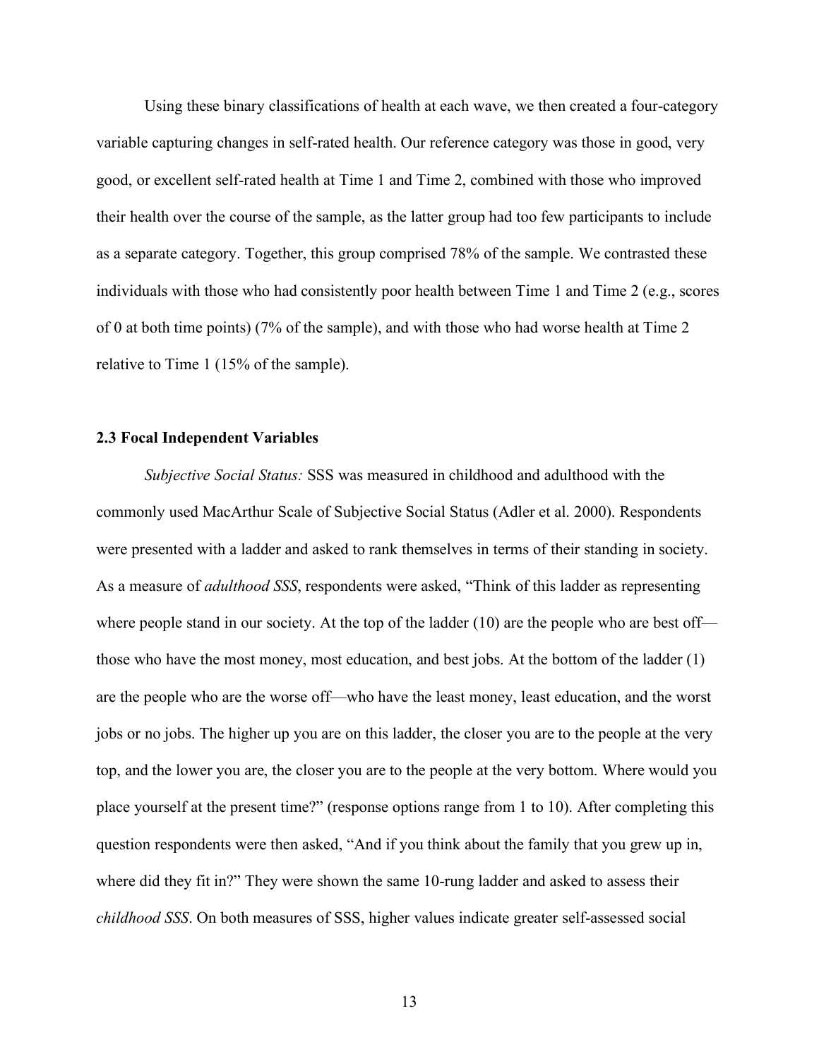Using these binary classifications of health at each wave, we then created a four-category variable capturing changes in self-rated health. Our reference category was those in good, very good, or excellent self-rated health at Time 1 and Time 2, combined with those who improved their health over the course of the sample, as the latter group had too few participants to include as a separate category. Together, this group comprised 78% of the sample. We contrasted these individuals with those who had consistently poor health between Time 1 and Time 2 (e.g., scores of 0 at both time points) (7% of the sample), and with those who had worse health at Time 2 relative to Time 1 (15% of the sample).

## **2.3 Focal Independent Variables**

*Subjective Social Status:* SSS was measured in childhood and adulthood with the commonly used MacArthur Scale of Subjective Social Status (Adler et al. 2000). Respondents were presented with a ladder and asked to rank themselves in terms of their standing in society. As a measure of *adulthood SSS*, respondents were asked, "Think of this ladder as representing where people stand in our society. At the top of the ladder (10) are the people who are best off those who have the most money, most education, and best jobs. At the bottom of the ladder (1) are the people who are the worse off—who have the least money, least education, and the worst jobs or no jobs. The higher up you are on this ladder, the closer you are to the people at the very top, and the lower you are, the closer you are to the people at the very bottom. Where would you place yourself at the present time?" (response options range from 1 to 10). After completing this question respondents were then asked, "And if you think about the family that you grew up in, where did they fit in?" They were shown the same 10-rung ladder and asked to assess their *childhood SSS*. On both measures of SSS, higher values indicate greater self-assessed social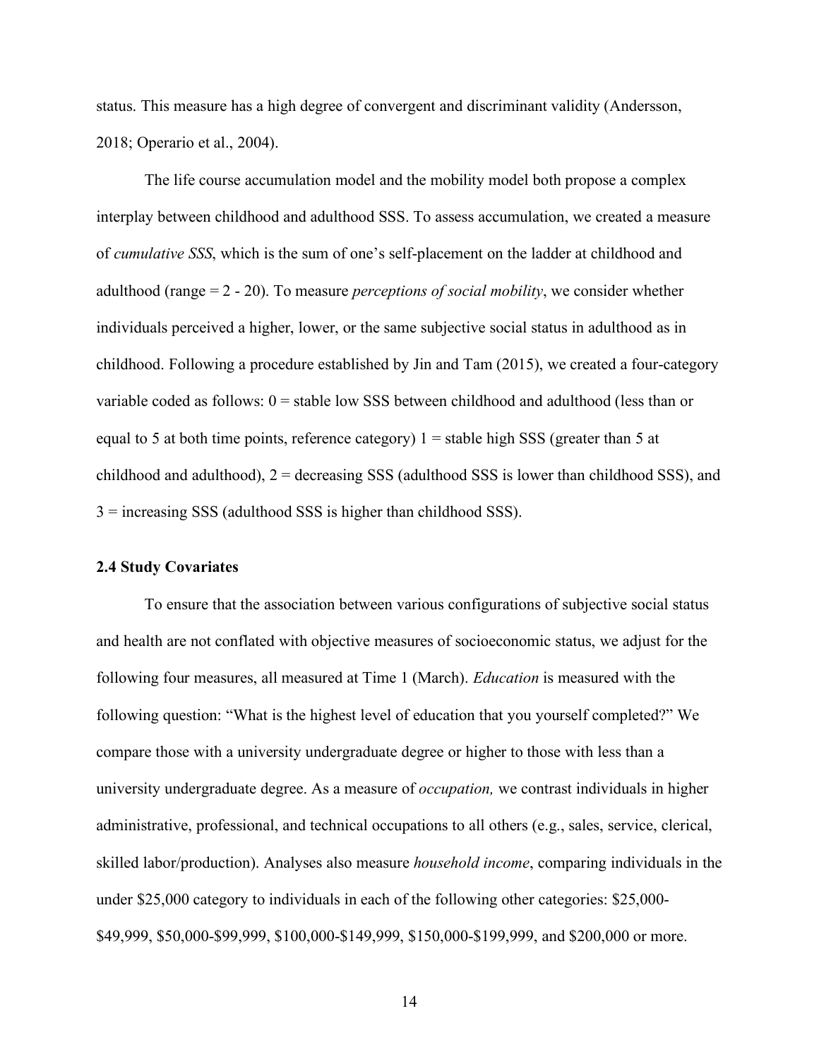status. This measure has a high degree of convergent and discriminant validity (Andersson, 2018; Operario et al., 2004).

The life course accumulation model and the mobility model both propose a complex interplay between childhood and adulthood SSS. To assess accumulation, we created a measure of *cumulative SSS*, which is the sum of one's self-placement on the ladder at childhood and adulthood (range = 2 - 20). To measure *perceptions of social mobility*, we consider whether individuals perceived a higher, lower, or the same subjective social status in adulthood as in childhood. Following a procedure established by Jin and Tam (2015), we created a four-category variable coded as follows:  $0 =$  stable low SSS between childhood and adulthood (less than or equal to 5 at both time points, reference category)  $1 =$  stable high SSS (greater than 5 at childhood and adulthood), 2 = decreasing SSS (adulthood SSS is lower than childhood SSS), and 3 = increasing SSS (adulthood SSS is higher than childhood SSS).

#### **2.4 Study Covariates**

To ensure that the association between various configurations of subjective social status and health are not conflated with objective measures of socioeconomic status, we adjust for the following four measures, all measured at Time 1 (March). *Education* is measured with the following question: "What is the highest level of education that you yourself completed?" We compare those with a university undergraduate degree or higher to those with less than a university undergraduate degree. As a measure of *occupation,* we contrast individuals in higher administrative, professional, and technical occupations to all others (e.g., sales, service, clerical, skilled labor/production). Analyses also measure *household income*, comparing individuals in the under \$25,000 category to individuals in each of the following other categories: \$25,000- \$49,999, \$50,000-\$99,999, \$100,000-\$149,999, \$150,000-\$199,999, and \$200,000 or more.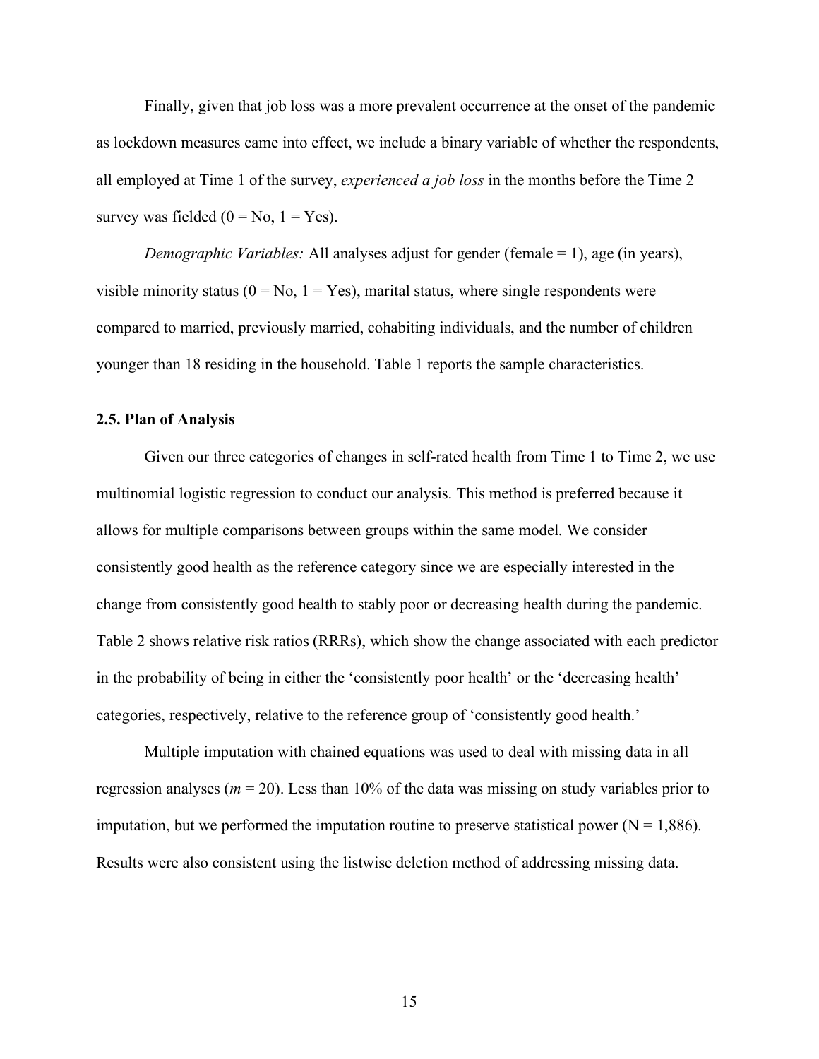Finally, given that job loss was a more prevalent occurrence at the onset of the pandemic as lockdown measures came into effect, we include a binary variable of whether the respondents, all employed at Time 1 of the survey, *experienced a job loss* in the months before the Time 2 survey was fielded  $(0 = No, 1 = Yes)$ .

*Demographic Variables:* All analyses adjust for gender (female = 1), age (in years), visible minority status ( $0 = No$ ,  $1 = Yes$ ), marital status, where single respondents were compared to married, previously married, cohabiting individuals, and the number of children younger than 18 residing in the household. Table 1 reports the sample characteristics.

## **2.5. Plan of Analysis**

Given our three categories of changes in self-rated health from Time 1 to Time 2, we use multinomial logistic regression to conduct our analysis. This method is preferred because it allows for multiple comparisons between groups within the same model. We consider consistently good health as the reference category since we are especially interested in the change from consistently good health to stably poor or decreasing health during the pandemic. Table 2 shows relative risk ratios (RRRs), which show the change associated with each predictor in the probability of being in either the 'consistently poor health' or the 'decreasing health' categories, respectively, relative to the reference group of 'consistently good health.'

Multiple imputation with chained equations was used to deal with missing data in all regression analyses ( $m = 20$ ). Less than 10% of the data was missing on study variables prior to imputation, but we performed the imputation routine to preserve statistical power  $(N = 1.886)$ . Results were also consistent using the listwise deletion method of addressing missing data.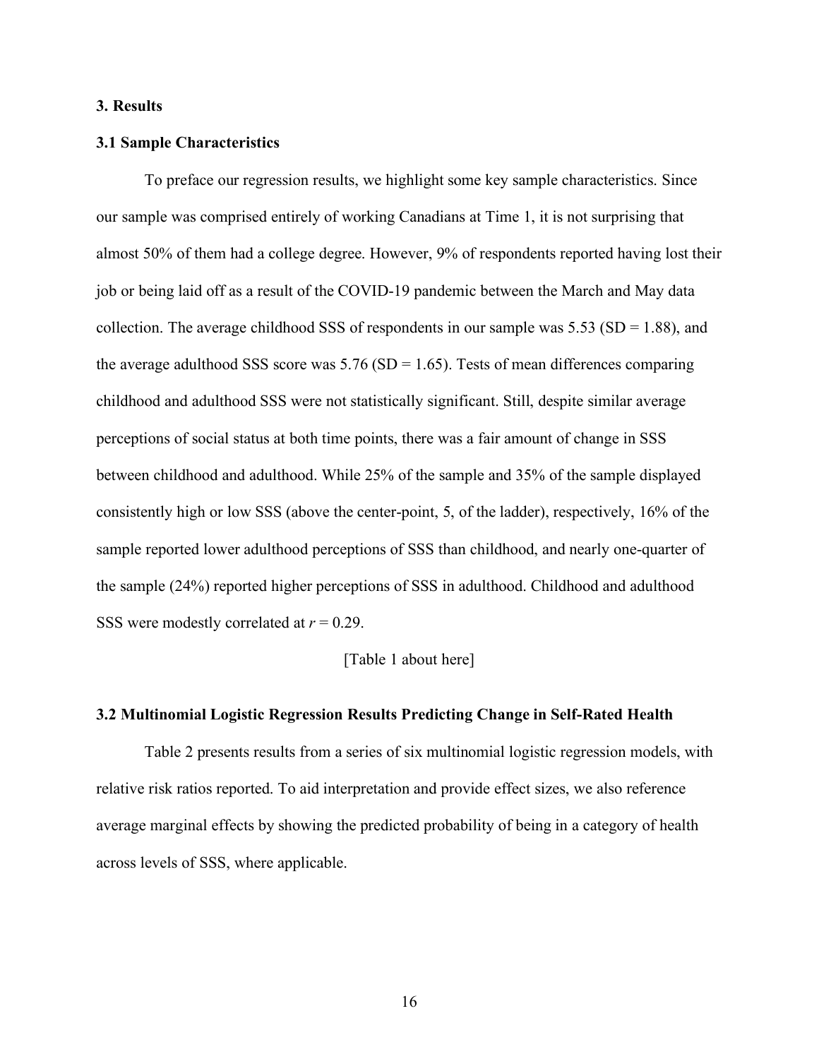## **3. Results**

#### **3.1 Sample Characteristics**

To preface our regression results, we highlight some key sample characteristics. Since our sample was comprised entirely of working Canadians at Time 1, it is not surprising that almost 50% of them had a college degree. However, 9% of respondents reported having lost their job or being laid off as a result of the COVID-19 pandemic between the March and May data collection. The average childhood SSS of respondents in our sample was  $5.53$  (SD = 1.88), and the average adulthood SSS score was  $5.76$  (SD = 1.65). Tests of mean differences comparing childhood and adulthood SSS were not statistically significant. Still, despite similar average perceptions of social status at both time points, there was a fair amount of change in SSS between childhood and adulthood. While 25% of the sample and 35% of the sample displayed consistently high or low SSS (above the center-point, 5, of the ladder), respectively, 16% of the sample reported lower adulthood perceptions of SSS than childhood, and nearly one-quarter of the sample (24%) reported higher perceptions of SSS in adulthood. Childhood and adulthood SSS were modestly correlated at *r* = 0.29.

#### [Table 1 about here]

## **3.2 Multinomial Logistic Regression Results Predicting Change in Self-Rated Health**

Table 2 presents results from a series of six multinomial logistic regression models, with relative risk ratios reported. To aid interpretation and provide effect sizes, we also reference average marginal effects by showing the predicted probability of being in a category of health across levels of SSS, where applicable.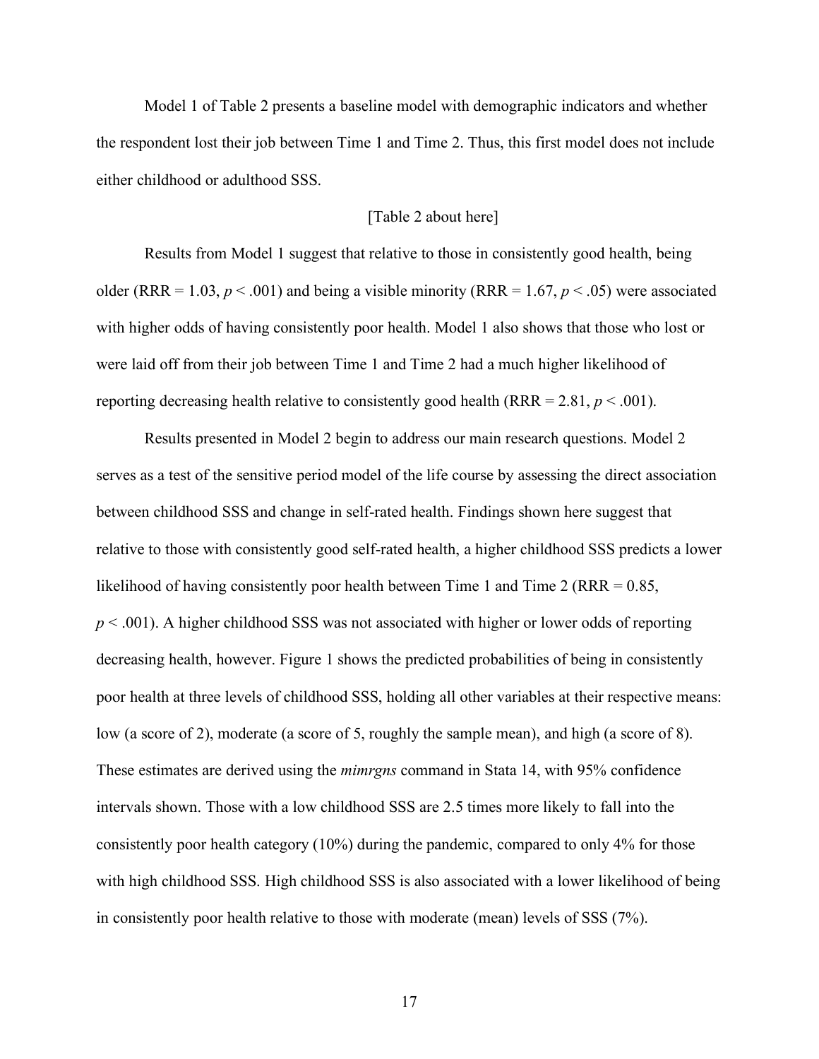Model 1 of Table 2 presents a baseline model with demographic indicators and whether the respondent lost their job between Time 1 and Time 2. Thus, this first model does not include either childhood or adulthood SSS.

## [Table 2 about here]

Results from Model 1 suggest that relative to those in consistently good health, being older (RRR = 1.03,  $p < .001$ ) and being a visible minority (RRR = 1.67,  $p < .05$ ) were associated with higher odds of having consistently poor health. Model 1 also shows that those who lost or were laid off from their job between Time 1 and Time 2 had a much higher likelihood of reporting decreasing health relative to consistently good health (RRR =  $2.81, p \le 0.001$ ).

Results presented in Model 2 begin to address our main research questions. Model 2 serves as a test of the sensitive period model of the life course by assessing the direct association between childhood SSS and change in self-rated health. Findings shown here suggest that relative to those with consistently good self-rated health, a higher childhood SSS predicts a lower likelihood of having consistently poor health between Time 1 and Time 2 (RRR = 0.85, *p* < .001). A higher childhood SSS was not associated with higher or lower odds of reporting decreasing health, however. Figure 1 shows the predicted probabilities of being in consistently poor health at three levels of childhood SSS, holding all other variables at their respective means: low (a score of 2), moderate (a score of 5, roughly the sample mean), and high (a score of 8). These estimates are derived using the *mimrgns* command in Stata 14, with 95% confidence intervals shown. Those with a low childhood SSS are 2.5 times more likely to fall into the consistently poor health category (10%) during the pandemic, compared to only 4% for those with high childhood SSS. High childhood SSS is also associated with a lower likelihood of being in consistently poor health relative to those with moderate (mean) levels of SSS (7%).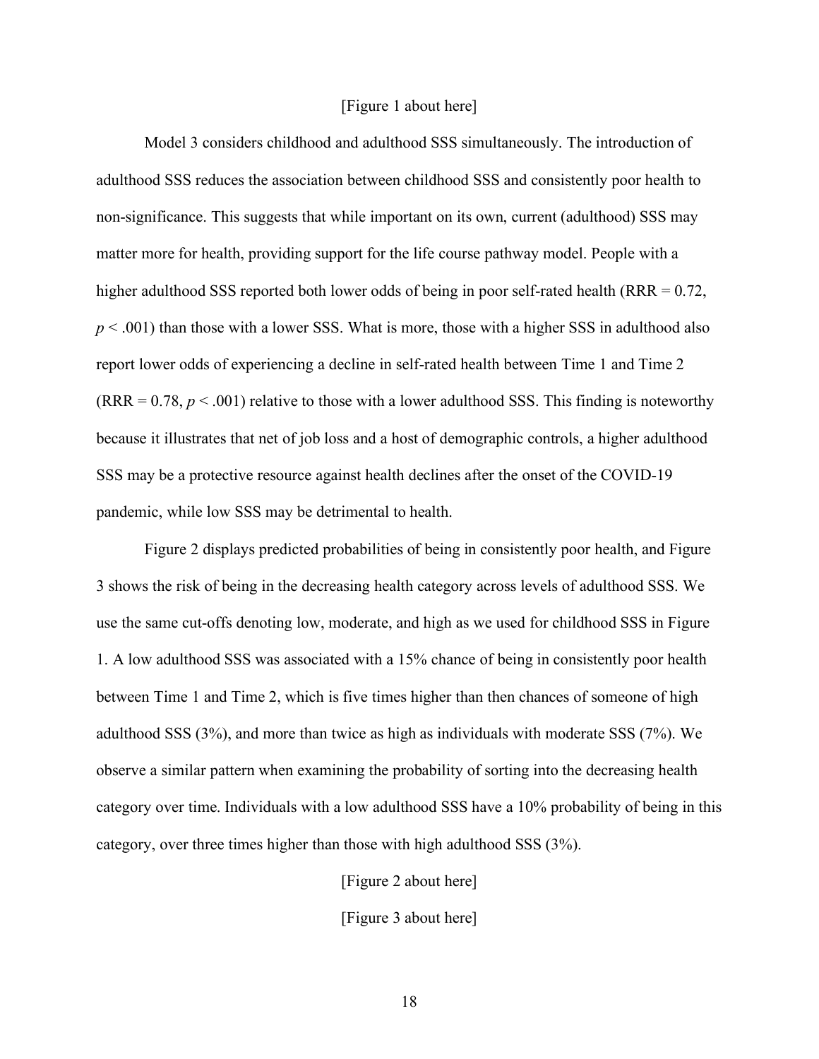#### [Figure 1 about here]

Model 3 considers childhood and adulthood SSS simultaneously. The introduction of adulthood SSS reduces the association between childhood SSS and consistently poor health to non-significance. This suggests that while important on its own, current (adulthood) SSS may matter more for health, providing support for the life course pathway model. People with a higher adulthood SSS reported both lower odds of being in poor self-rated health (RRR = 0.72, *p* < .001) than those with a lower SSS. What is more, those with a higher SSS in adulthood also report lower odds of experiencing a decline in self-rated health between Time 1 and Time 2  $(RRR = 0.78, p < .001)$  relative to those with a lower adulthood SSS. This finding is noteworthy because it illustrates that net of job loss and a host of demographic controls, a higher adulthood SSS may be a protective resource against health declines after the onset of the COVID-19 pandemic, while low SSS may be detrimental to health.

Figure 2 displays predicted probabilities of being in consistently poor health, and Figure 3 shows the risk of being in the decreasing health category across levels of adulthood SSS. We use the same cut-offs denoting low, moderate, and high as we used for childhood SSS in Figure 1. A low adulthood SSS was associated with a 15% chance of being in consistently poor health between Time 1 and Time 2, which is five times higher than then chances of someone of high adulthood SSS (3%), and more than twice as high as individuals with moderate SSS (7%). We observe a similar pattern when examining the probability of sorting into the decreasing health category over time. Individuals with a low adulthood SSS have a 10% probability of being in this category, over three times higher than those with high adulthood SSS (3%).

> [Figure 2 about here] [Figure 3 about here]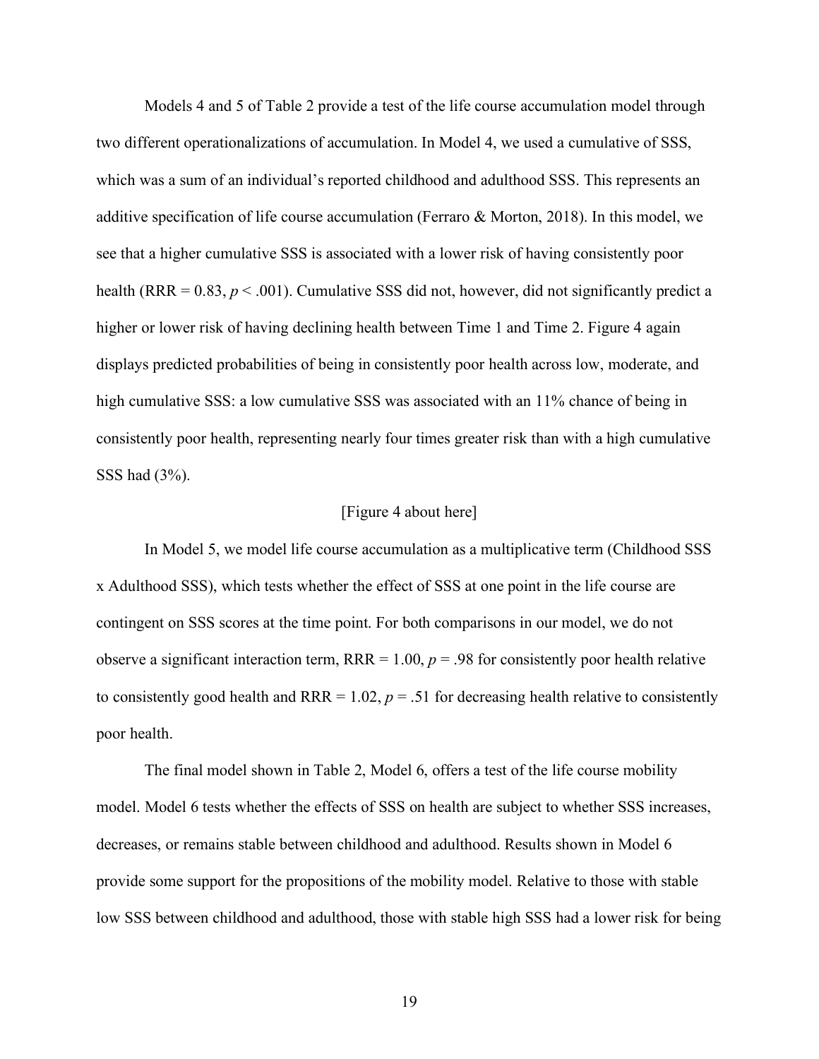Models 4 and 5 of Table 2 provide a test of the life course accumulation model through two different operationalizations of accumulation. In Model 4, we used a cumulative of SSS, which was a sum of an individual's reported childhood and adulthood SSS. This represents an additive specification of life course accumulation (Ferraro & Morton, 2018). In this model, we see that a higher cumulative SSS is associated with a lower risk of having consistently poor health (RRR =  $0.83$ ,  $p < .001$ ). Cumulative SSS did not, however, did not significantly predict a higher or lower risk of having declining health between Time 1 and Time 2. Figure 4 again displays predicted probabilities of being in consistently poor health across low, moderate, and high cumulative SSS: a low cumulative SSS was associated with an  $11\%$  chance of being in consistently poor health, representing nearly four times greater risk than with a high cumulative SSS had (3%).

### [Figure 4 about here]

In Model 5, we model life course accumulation as a multiplicative term (Childhood SSS x Adulthood SSS), which tests whether the effect of SSS at one point in the life course are contingent on SSS scores at the time point. For both comparisons in our model, we do not observe a significant interaction term,  $RRR = 1.00$ ,  $p = .98$  for consistently poor health relative to consistently good health and RRR =  $1.02$ ,  $p = .51$  for decreasing health relative to consistently poor health.

The final model shown in Table 2, Model 6, offers a test of the life course mobility model. Model 6 tests whether the effects of SSS on health are subject to whether SSS increases, decreases, or remains stable between childhood and adulthood. Results shown in Model 6 provide some support for the propositions of the mobility model. Relative to those with stable low SSS between childhood and adulthood, those with stable high SSS had a lower risk for being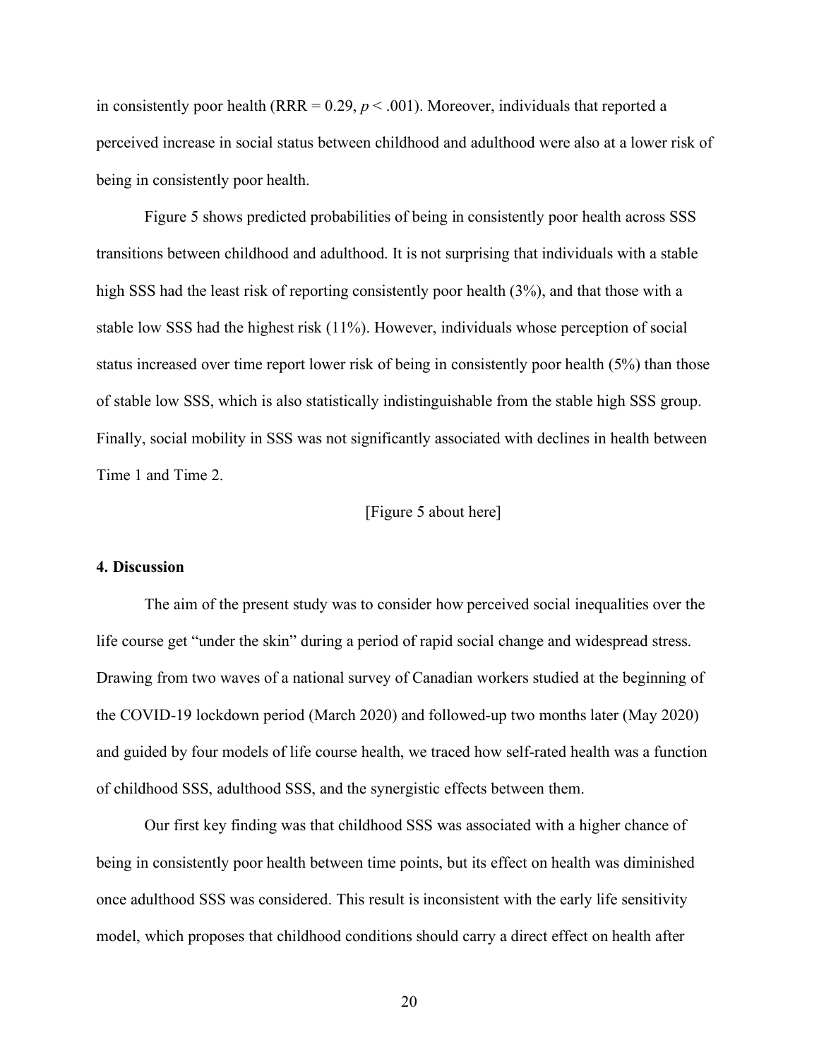in consistently poor health (RRR =  $0.29$ ,  $p < .001$ ). Moreover, individuals that reported a perceived increase in social status between childhood and adulthood were also at a lower risk of being in consistently poor health.

Figure 5 shows predicted probabilities of being in consistently poor health across SSS transitions between childhood and adulthood. It is not surprising that individuals with a stable high SSS had the least risk of reporting consistently poor health (3%), and that those with a stable low SSS had the highest risk (11%). However, individuals whose perception of social status increased over time report lower risk of being in consistently poor health (5%) than those of stable low SSS, which is also statistically indistinguishable from the stable high SSS group. Finally, social mobility in SSS was not significantly associated with declines in health between Time 1 and Time 2.

### [Figure 5 about here]

## **4. Discussion**

The aim of the present study was to consider how perceived social inequalities over the life course get "under the skin" during a period of rapid social change and widespread stress. Drawing from two waves of a national survey of Canadian workers studied at the beginning of the COVID-19 lockdown period (March 2020) and followed-up two months later (May 2020) and guided by four models of life course health, we traced how self-rated health was a function of childhood SSS, adulthood SSS, and the synergistic effects between them.

Our first key finding was that childhood SSS was associated with a higher chance of being in consistently poor health between time points, but its effect on health was diminished once adulthood SSS was considered. This result is inconsistent with the early life sensitivity model, which proposes that childhood conditions should carry a direct effect on health after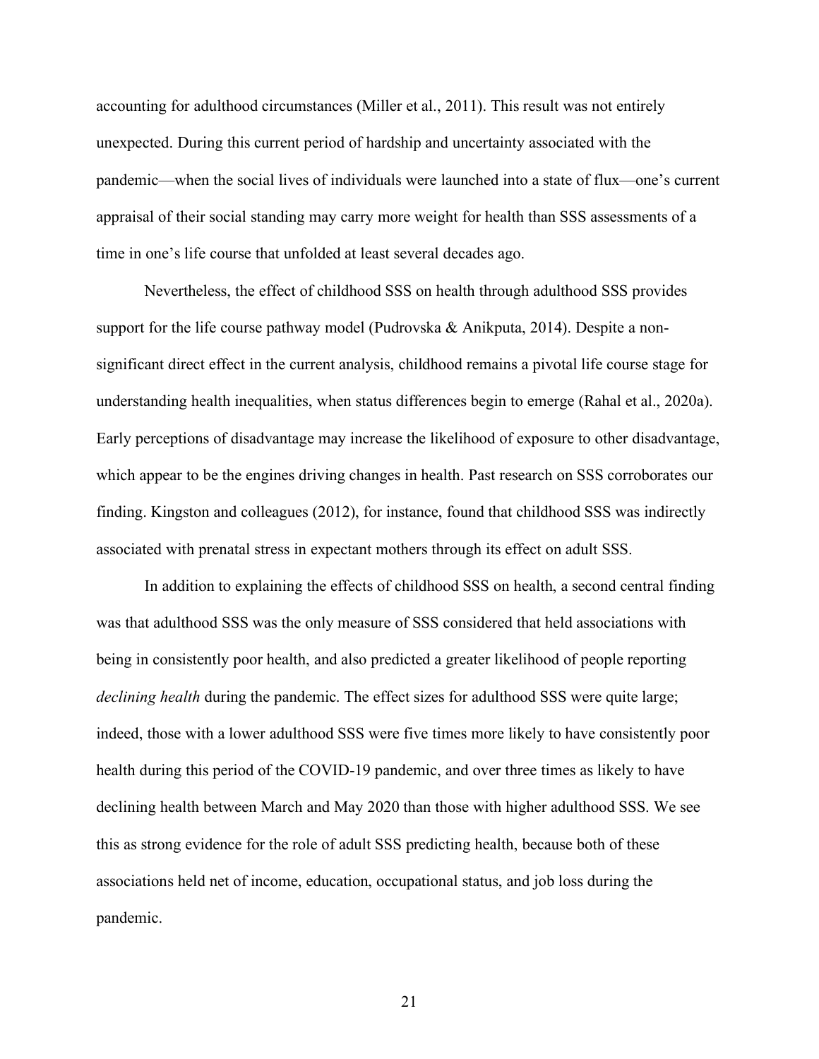accounting for adulthood circumstances (Miller et al., 2011). This result was not entirely unexpected. During this current period of hardship and uncertainty associated with the pandemic—when the social lives of individuals were launched into a state of flux—one's current appraisal of their social standing may carry more weight for health than SSS assessments of a time in one's life course that unfolded at least several decades ago.

Nevertheless, the effect of childhood SSS on health through adulthood SSS provides support for the life course pathway model (Pudrovska & Anikputa, 2014). Despite a nonsignificant direct effect in the current analysis, childhood remains a pivotal life course stage for understanding health inequalities, when status differences begin to emerge (Rahal et al., 2020a). Early perceptions of disadvantage may increase the likelihood of exposure to other disadvantage, which appear to be the engines driving changes in health. Past research on SSS corroborates our finding. Kingston and colleagues (2012), for instance, found that childhood SSS was indirectly associated with prenatal stress in expectant mothers through its effect on adult SSS.

In addition to explaining the effects of childhood SSS on health, a second central finding was that adulthood SSS was the only measure of SSS considered that held associations with being in consistently poor health, and also predicted a greater likelihood of people reporting *declining health* during the pandemic. The effect sizes for adulthood SSS were quite large; indeed, those with a lower adulthood SSS were five times more likely to have consistently poor health during this period of the COVID-19 pandemic, and over three times as likely to have declining health between March and May 2020 than those with higher adulthood SSS. We see this as strong evidence for the role of adult SSS predicting health, because both of these associations held net of income, education, occupational status, and job loss during the pandemic.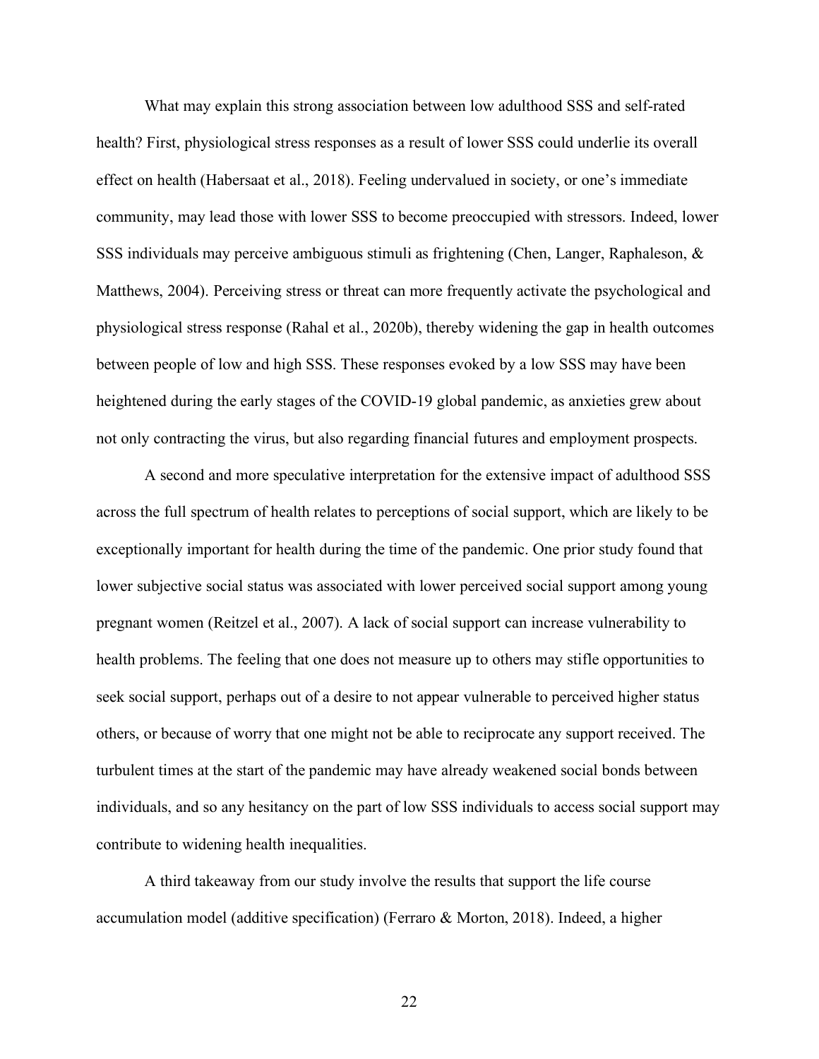What may explain this strong association between low adulthood SSS and self-rated health? First, physiological stress responses as a result of lower SSS could underlie its overall effect on health (Habersaat et al., 2018). Feeling undervalued in society, or one's immediate community, may lead those with lower SSS to become preoccupied with stressors. Indeed, lower SSS individuals may perceive ambiguous stimuli as frightening (Chen, Langer, Raphaleson, & Matthews, 2004). Perceiving stress or threat can more frequently activate the psychological and physiological stress response (Rahal et al., 2020b), thereby widening the gap in health outcomes between people of low and high SSS. These responses evoked by a low SSS may have been heightened during the early stages of the COVID-19 global pandemic, as anxieties grew about not only contracting the virus, but also regarding financial futures and employment prospects.

A second and more speculative interpretation for the extensive impact of adulthood SSS across the full spectrum of health relates to perceptions of social support, which are likely to be exceptionally important for health during the time of the pandemic. One prior study found that lower subjective social status was associated with lower perceived social support among young pregnant women (Reitzel et al., 2007). A lack of social support can increase vulnerability to health problems. The feeling that one does not measure up to others may stifle opportunities to seek social support, perhaps out of a desire to not appear vulnerable to perceived higher status others, or because of worry that one might not be able to reciprocate any support received. The turbulent times at the start of the pandemic may have already weakened social bonds between individuals, and so any hesitancy on the part of low SSS individuals to access social support may contribute to widening health inequalities.

A third takeaway from our study involve the results that support the life course accumulation model (additive specification) (Ferraro & Morton, 2018). Indeed, a higher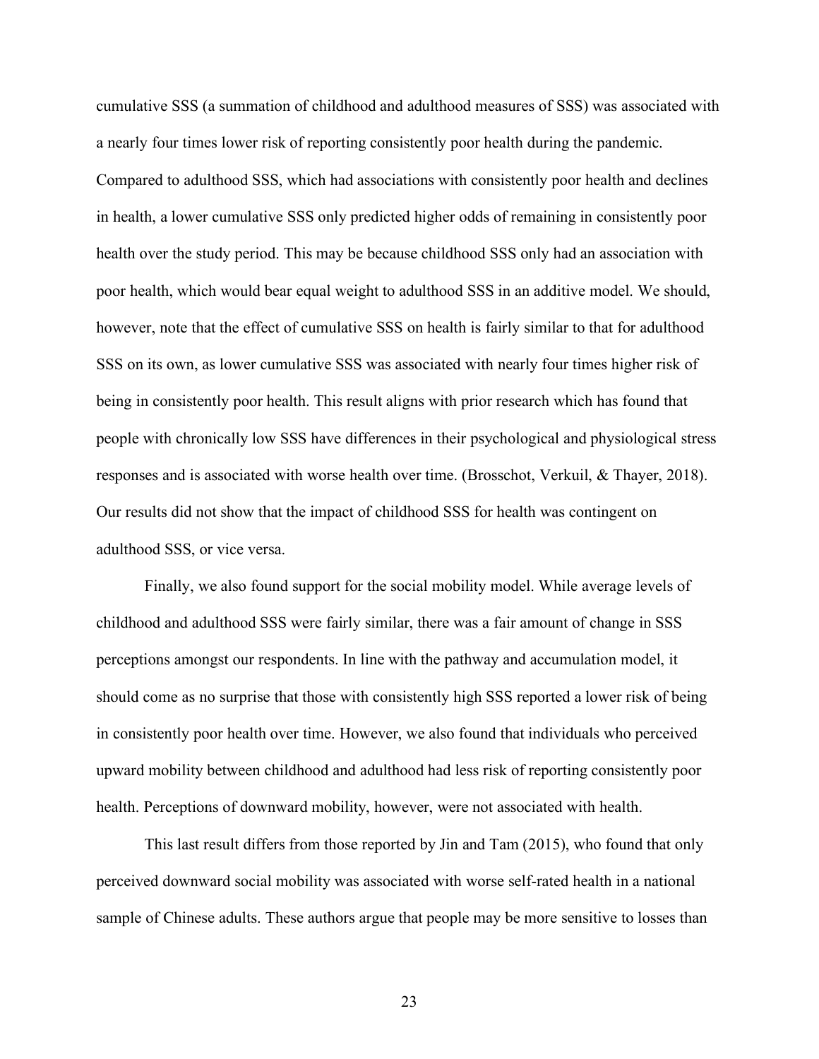cumulative SSS (a summation of childhood and adulthood measures of SSS) was associated with a nearly four times lower risk of reporting consistently poor health during the pandemic. Compared to adulthood SSS, which had associations with consistently poor health and declines in health, a lower cumulative SSS only predicted higher odds of remaining in consistently poor health over the study period. This may be because childhood SSS only had an association with poor health, which would bear equal weight to adulthood SSS in an additive model. We should, however, note that the effect of cumulative SSS on health is fairly similar to that for adulthood SSS on its own, as lower cumulative SSS was associated with nearly four times higher risk of being in consistently poor health. This result aligns with prior research which has found that people with chronically low SSS have differences in their psychological and physiological stress responses and is associated with worse health over time. (Brosschot, Verkuil, & Thayer, 2018). Our results did not show that the impact of childhood SSS for health was contingent on adulthood SSS, or vice versa.

Finally, we also found support for the social mobility model. While average levels of childhood and adulthood SSS were fairly similar, there was a fair amount of change in SSS perceptions amongst our respondents. In line with the pathway and accumulation model, it should come as no surprise that those with consistently high SSS reported a lower risk of being in consistently poor health over time. However, we also found that individuals who perceived upward mobility between childhood and adulthood had less risk of reporting consistently poor health. Perceptions of downward mobility, however, were not associated with health.

This last result differs from those reported by Jin and Tam (2015), who found that only perceived downward social mobility was associated with worse self-rated health in a national sample of Chinese adults. These authors argue that people may be more sensitive to losses than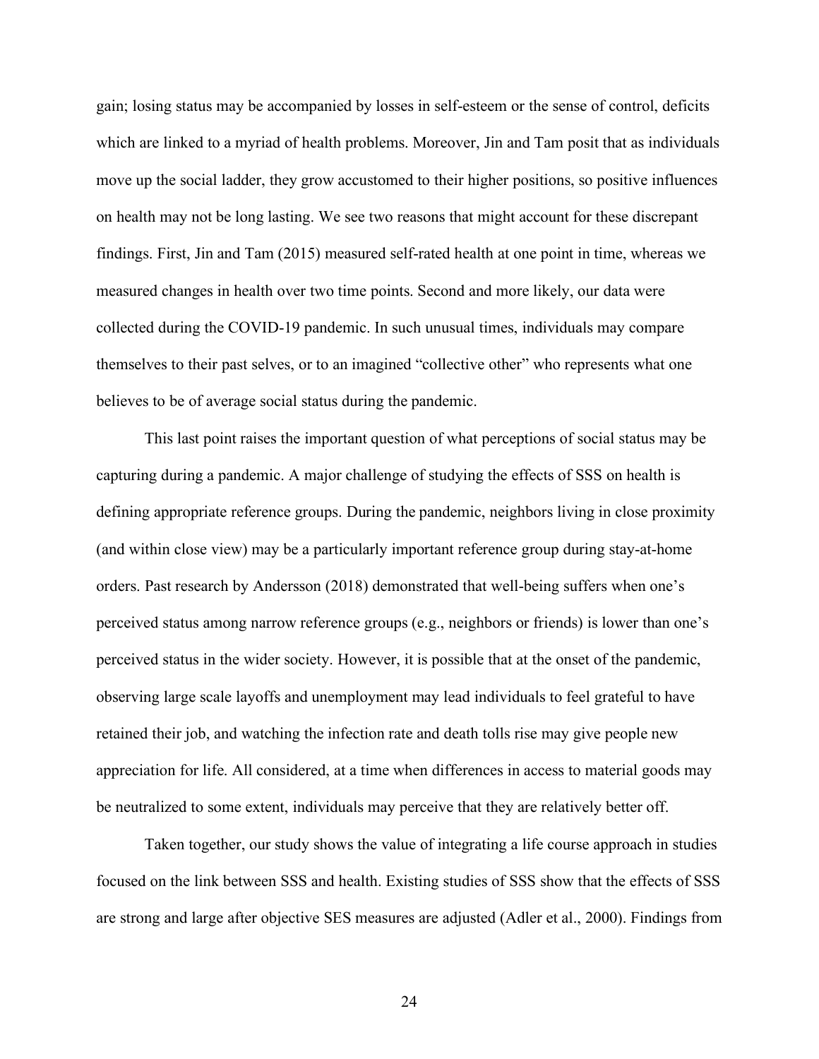gain; losing status may be accompanied by losses in self-esteem or the sense of control, deficits which are linked to a myriad of health problems. Moreover, Jin and Tam posit that as individuals move up the social ladder, they grow accustomed to their higher positions, so positive influences on health may not be long lasting. We see two reasons that might account for these discrepant findings. First, Jin and Tam (2015) measured self-rated health at one point in time, whereas we measured changes in health over two time points. Second and more likely, our data were collected during the COVID-19 pandemic. In such unusual times, individuals may compare themselves to their past selves, or to an imagined "collective other" who represents what one believes to be of average social status during the pandemic.

This last point raises the important question of what perceptions of social status may be capturing during a pandemic. A major challenge of studying the effects of SSS on health is defining appropriate reference groups. During the pandemic, neighbors living in close proximity (and within close view) may be a particularly important reference group during stay-at-home orders. Past research by Andersson (2018) demonstrated that well-being suffers when one's perceived status among narrow reference groups (e.g., neighbors or friends) is lower than one's perceived status in the wider society. However, it is possible that at the onset of the pandemic, observing large scale layoffs and unemployment may lead individuals to feel grateful to have retained their job, and watching the infection rate and death tolls rise may give people new appreciation for life. All considered, at a time when differences in access to material goods may be neutralized to some extent, individuals may perceive that they are relatively better off.

Taken together, our study shows the value of integrating a life course approach in studies focused on the link between SSS and health. Existing studies of SSS show that the effects of SSS are strong and large after objective SES measures are adjusted (Adler et al., 2000). Findings from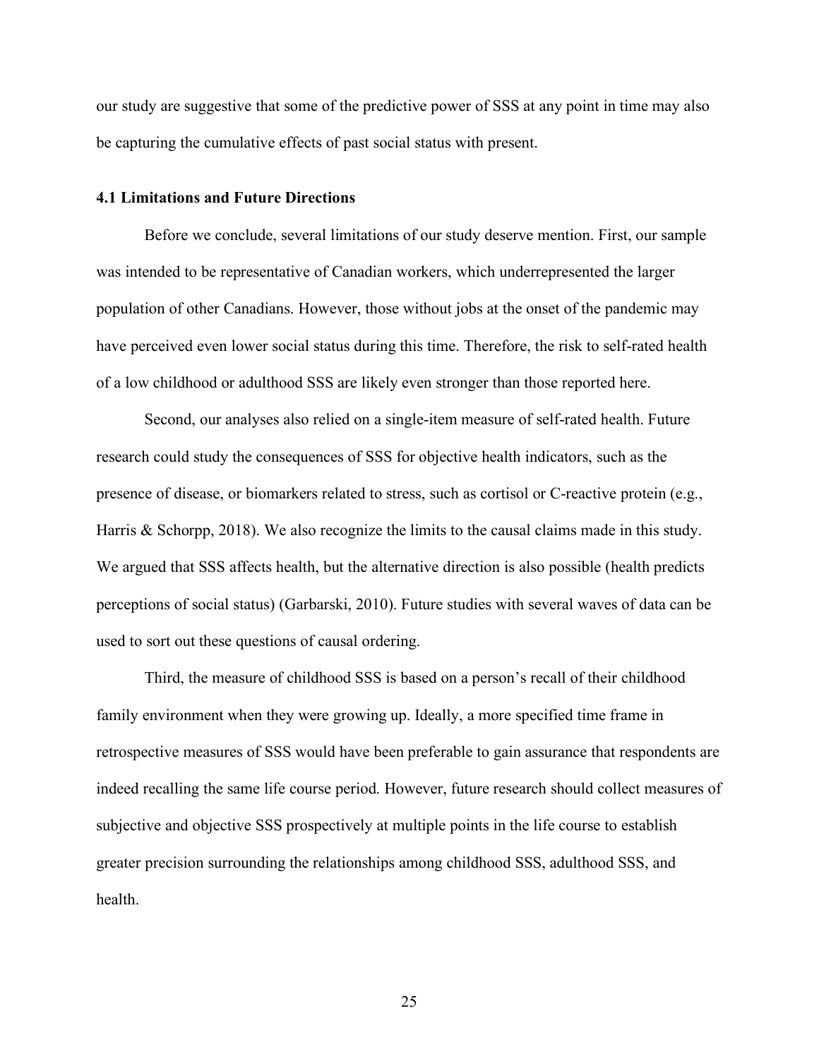our study are suggestive that some of the predictive power of SSS at any point in time may also be capturing the cumulative effects of past social status with present.

## **4.1 Limitations and Future Directions**

Before we conclude, several limitations of our study deserve mention. First, our sample was intended to be representative of Canadian workers, which underrepresented the larger population of other Canadians. However, those without jobs at the onset of the pandemic may have perceived even lower social status during this time. Therefore, the risk to self-rated health of a low childhood or adulthood SSS are likely even stronger than those reported here.

Second, our analyses also relied on a single-item measure of self-rated health. Future research could study the consequences of SSS for objective health indicators, such as the presence of disease, or biomarkers related to stress, such as cortisol or C-reactive protein (e.g., Harris & Schorpp, 2018). We also recognize the limits to the causal claims made in this study. We argued that SSS affects health, but the alternative direction is also possible (health predicts perceptions of social status) (Garbarski, 2010). Future studies with several waves of data can be used to sort out these questions of causal ordering.

Third, the measure of childhood SSS is based on a person's recall of their childhood family environment when they were growing up. Ideally, a more specified time frame in retrospective measures of SSS would have been preferable to gain assurance that respondents are indeed recalling the same life course period. However, future research should collect measures of subjective and objective SSS prospectively at multiple points in the life course to establish greater precision surrounding the relationships among childhood SSS, adulthood SSS, and health.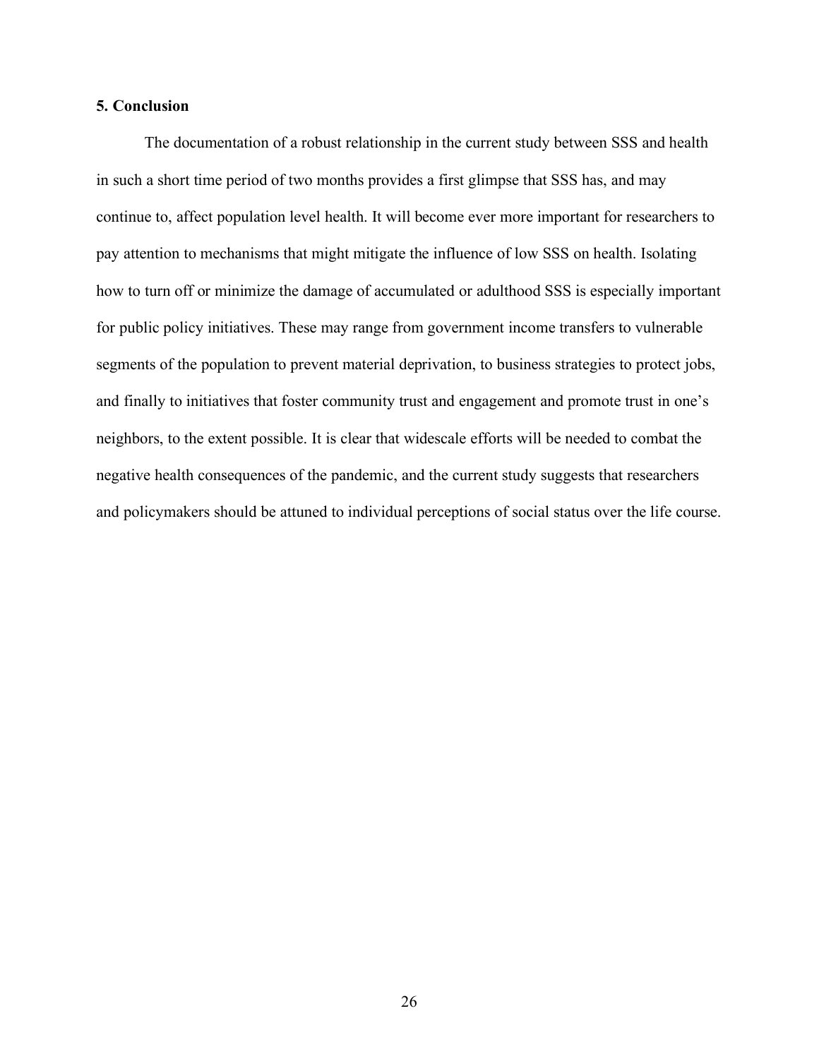### **5. Conclusion**

The documentation of a robust relationship in the current study between SSS and health in such a short time period of two months provides a first glimpse that SSS has, and may continue to, affect population level health. It will become ever more important for researchers to pay attention to mechanisms that might mitigate the influence of low SSS on health. Isolating how to turn off or minimize the damage of accumulated or adulthood SSS is especially important for public policy initiatives. These may range from government income transfers to vulnerable segments of the population to prevent material deprivation, to business strategies to protect jobs, and finally to initiatives that foster community trust and engagement and promote trust in one's neighbors, to the extent possible. It is clear that widescale efforts will be needed to combat the negative health consequences of the pandemic, and the current study suggests that researchers and policymakers should be attuned to individual perceptions of social status over the life course.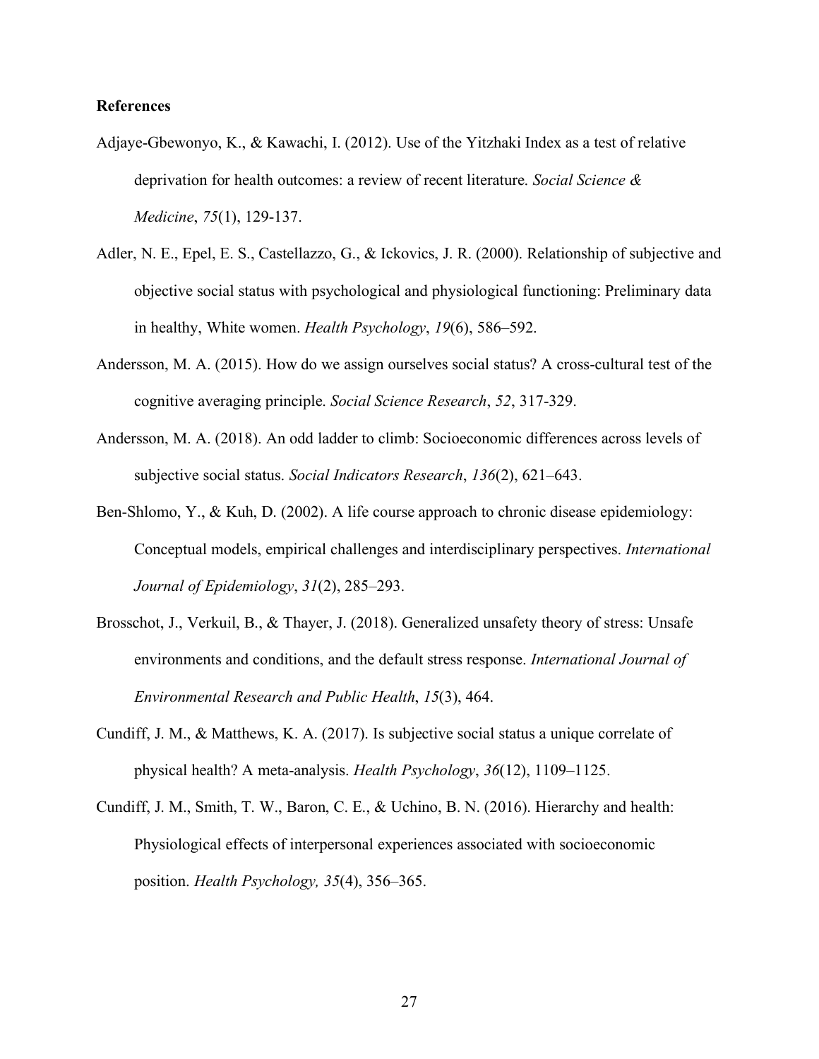## **References**

- Adjaye-Gbewonyo, K., & Kawachi, I. (2012). Use of the Yitzhaki Index as a test of relative deprivation for health outcomes: a review of recent literature. *Social Science & Medicine*, *75*(1), 129-137.
- Adler, N. E., Epel, E. S., Castellazzo, G., & Ickovics, J. R. (2000). Relationship of subjective and objective social status with psychological and physiological functioning: Preliminary data in healthy, White women. *Health Psychology*, *19*(6), 586–592.
- Andersson, M. A. (2015). How do we assign ourselves social status? A cross-cultural test of the cognitive averaging principle. *Social Science Research*, *52*, 317-329.
- Andersson, M. A. (2018). An odd ladder to climb: Socioeconomic differences across levels of subjective social status. *Social Indicators Research*, *136*(2), 621–643.
- Ben-Shlomo, Y., & Kuh, D. (2002). A life course approach to chronic disease epidemiology: Conceptual models, empirical challenges and interdisciplinary perspectives. *International Journal of Epidemiology*, *31*(2), 285–293.
- Brosschot, J., Verkuil, B., & Thayer, J. (2018). Generalized unsafety theory of stress: Unsafe environments and conditions, and the default stress response. *International Journal of Environmental Research and Public Health*, *15*(3), 464.
- Cundiff, J. M., & Matthews, K. A. (2017). Is subjective social status a unique correlate of physical health? A meta-analysis. *Health Psychology*, *36*(12), 1109–1125.
- Cundiff, J. M., Smith, T. W., Baron, C. E., & Uchino, B. N. (2016). Hierarchy and health: Physiological effects of interpersonal experiences associated with socioeconomic position. *Health Psychology, 35*(4), 356–365.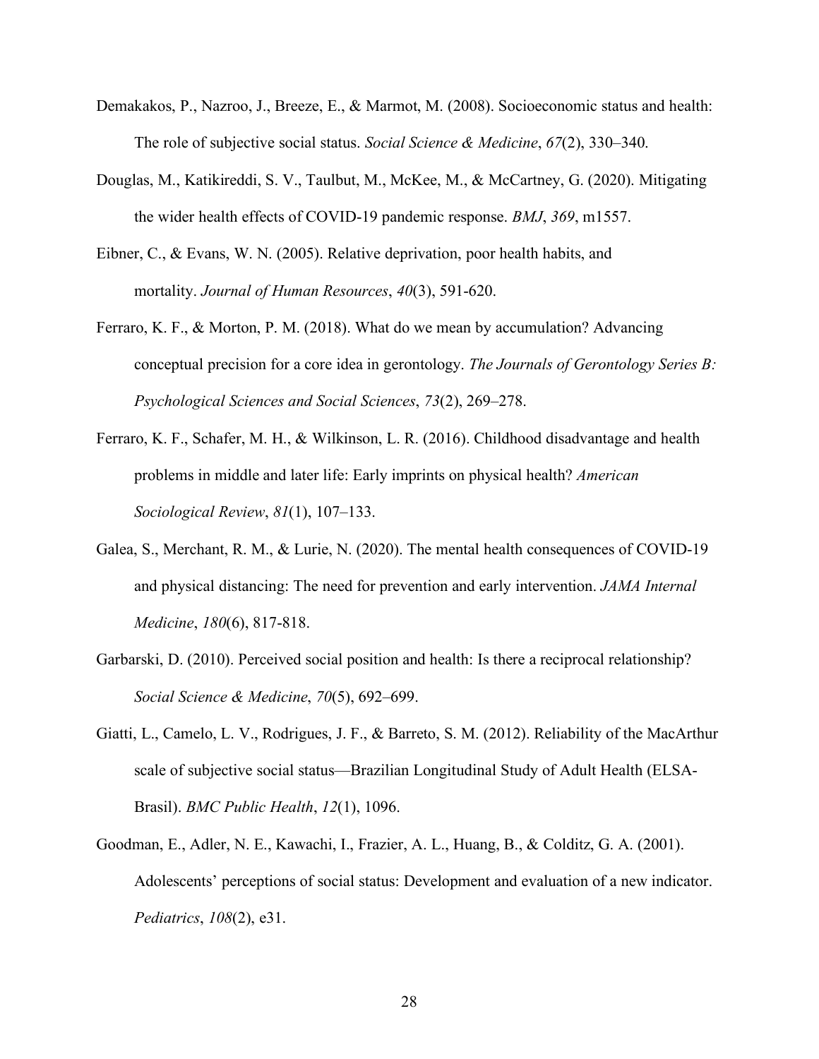- Demakakos, P., Nazroo, J., Breeze, E., & Marmot, M. (2008). Socioeconomic status and health: The role of subjective social status. *Social Science & Medicine*, *67*(2), 330–340.
- Douglas, M., Katikireddi, S. V., Taulbut, M., McKee, M., & McCartney, G. (2020). Mitigating the wider health effects of COVID-19 pandemic response. *BMJ*, *369*, m1557.
- Eibner, C., & Evans, W. N. (2005). Relative deprivation, poor health habits, and mortality. *Journal of Human Resources*, *40*(3), 591-620.
- Ferraro, K. F., & Morton, P. M. (2018). What do we mean by accumulation? Advancing conceptual precision for a core idea in gerontology. *The Journals of Gerontology Series B: Psychological Sciences and Social Sciences*, *73*(2), 269–278.
- Ferraro, K. F., Schafer, M. H., & Wilkinson, L. R. (2016). Childhood disadvantage and health problems in middle and later life: Early imprints on physical health? *American Sociological Review*, *81*(1), 107–133.
- Galea, S., Merchant, R. M., & Lurie, N. (2020). The mental health consequences of COVID-19 and physical distancing: The need for prevention and early intervention. *JAMA Internal Medicine*, *180*(6), 817-818.
- Garbarski, D. (2010). Perceived social position and health: Is there a reciprocal relationship? *Social Science & Medicine*, *70*(5), 692–699.
- Giatti, L., Camelo, L. V., Rodrigues, J. F., & Barreto, S. M. (2012). Reliability of the MacArthur scale of subjective social status—Brazilian Longitudinal Study of Adult Health (ELSA-Brasil). *BMC Public Health*, *12*(1), 1096.
- Goodman, E., Adler, N. E., Kawachi, I., Frazier, A. L., Huang, B., & Colditz, G. A. (2001). Adolescents' perceptions of social status: Development and evaluation of a new indicator. *Pediatrics*, *108*(2), e31.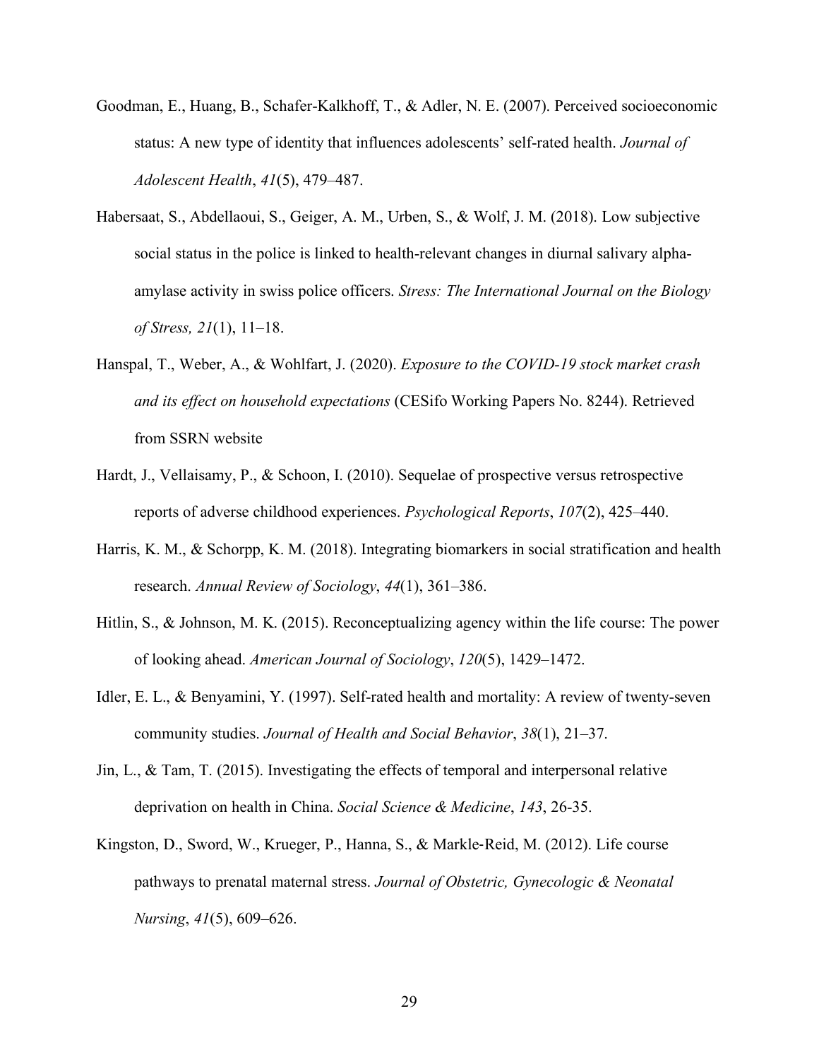- Goodman, E., Huang, B., Schafer-Kalkhoff, T., & Adler, N. E. (2007). Perceived socioeconomic status: A new type of identity that influences adolescents' self-rated health. *Journal of Adolescent Health*, *41*(5), 479–487.
- Habersaat, S., Abdellaoui, S., Geiger, A. M., Urben, S., & Wolf, J. M. (2018). Low subjective social status in the police is linked to health-relevant changes in diurnal salivary alphaamylase activity in swiss police officers. *Stress: The International Journal on the Biology of Stress, 21*(1), 11–18.
- Hanspal, T., Weber, A., & Wohlfart, J. (2020). *Exposure to the COVID-19 stock market crash and its effect on household expectations* (CESifo Working Papers No. 8244). Retrieved from SSRN website
- Hardt, J., Vellaisamy, P., & Schoon, I. (2010). Sequelae of prospective versus retrospective reports of adverse childhood experiences. *Psychological Reports*, *107*(2), 425–440.
- Harris, K. M., & Schorpp, K. M. (2018). Integrating biomarkers in social stratification and health research. *Annual Review of Sociology*, *44*(1), 361–386.
- Hitlin, S., & Johnson, M. K. (2015). Reconceptualizing agency within the life course: The power of looking ahead. *American Journal of Sociology*, *120*(5), 1429–1472.
- Idler, E. L., & Benyamini, Y. (1997). Self-rated health and mortality: A review of twenty-seven community studies. *Journal of Health and Social Behavior*, *38*(1), 21–37.
- Jin, L., & Tam, T. (2015). Investigating the effects of temporal and interpersonal relative deprivation on health in China. *Social Science & Medicine*, *143*, 26-35.
- Kingston, D., Sword, W., Krueger, P., Hanna, S., & Markle-Reid, M. (2012). Life course pathways to prenatal maternal stress. *Journal of Obstetric, Gynecologic & Neonatal Nursing*, *41*(5), 609–626.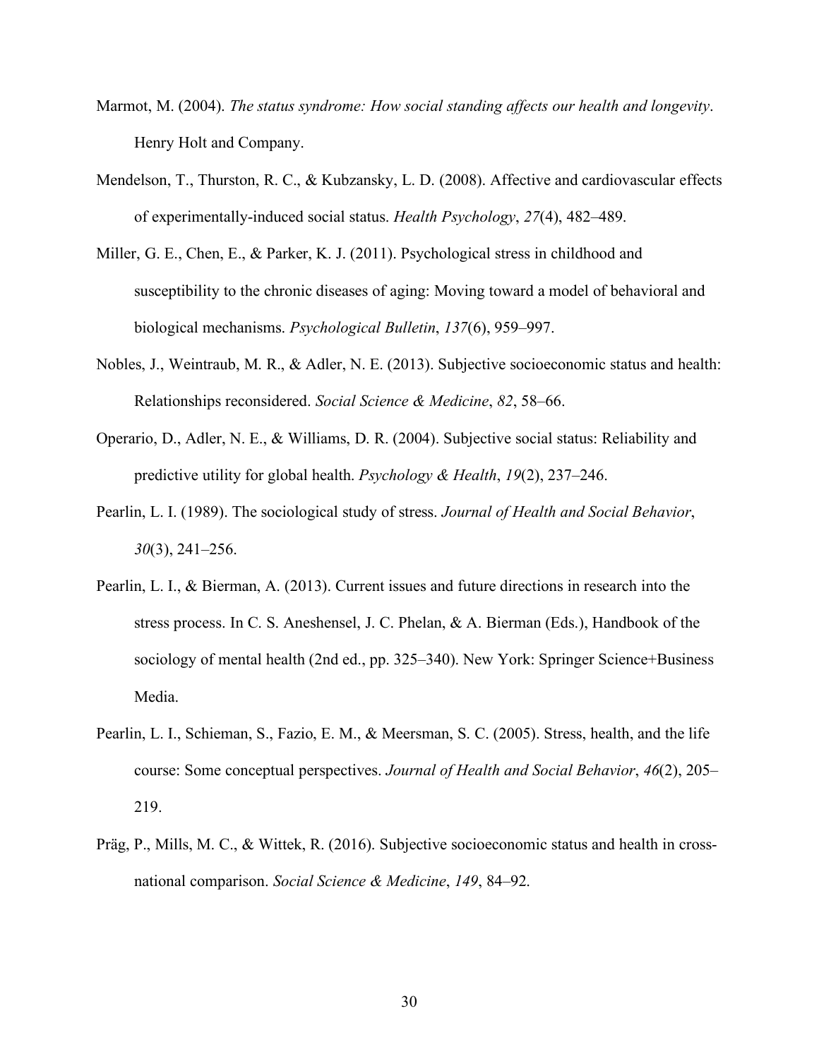- Marmot, M. (2004). *The status syndrome: How social standing affects our health and longevity*. Henry Holt and Company.
- Mendelson, T., Thurston, R. C., & Kubzansky, L. D. (2008). Affective and cardiovascular effects of experimentally-induced social status. *Health Psychology*, *27*(4), 482–489.
- Miller, G. E., Chen, E., & Parker, K. J. (2011). Psychological stress in childhood and susceptibility to the chronic diseases of aging: Moving toward a model of behavioral and biological mechanisms. *Psychological Bulletin*, *137*(6), 959–997.
- Nobles, J., Weintraub, M. R., & Adler, N. E. (2013). Subjective socioeconomic status and health: Relationships reconsidered. *Social Science & Medicine*, *82*, 58–66.
- Operario, D., Adler, N. E., & Williams, D. R. (2004). Subjective social status: Reliability and predictive utility for global health. *Psychology & Health*, *19*(2), 237–246.
- Pearlin, L. I. (1989). The sociological study of stress. *Journal of Health and Social Behavior*, *30*(3), 241–256.
- Pearlin, L. I., & Bierman, A. (2013). Current issues and future directions in research into the stress process. In C. S. Aneshensel, J. C. Phelan, & A. Bierman (Eds.), Handbook of the sociology of mental health (2nd ed., pp. 325–340). New York: Springer Science+Business Media.
- Pearlin, L. I., Schieman, S., Fazio, E. M., & Meersman, S. C. (2005). Stress, health, and the life course: Some conceptual perspectives. *Journal of Health and Social Behavior*, *46*(2), 205– 219.
- Präg, P., Mills, M. C., & Wittek, R. (2016). Subjective socioeconomic status and health in crossnational comparison. *Social Science & Medicine*, *149*, 84–92.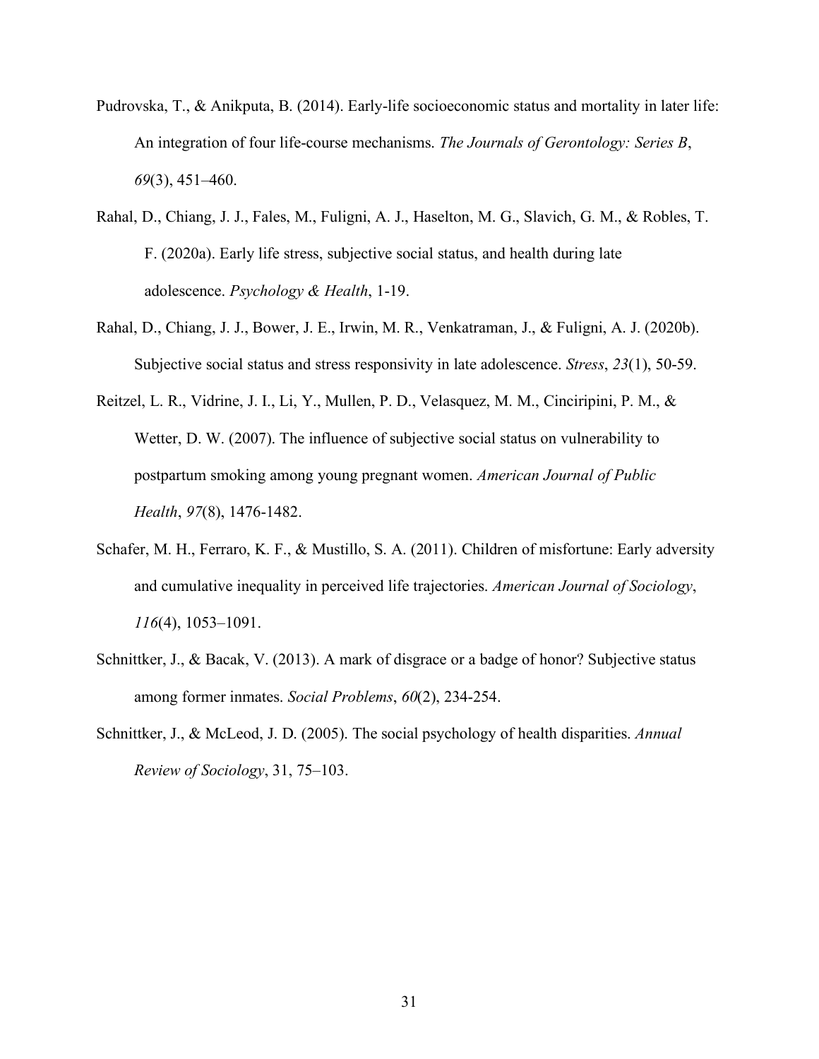- Pudrovska, T., & Anikputa, B. (2014). Early-life socioeconomic status and mortality in later life: An integration of four life-course mechanisms. *The Journals of Gerontology: Series B*, *69*(3), 451–460.
- Rahal, D., Chiang, J. J., Fales, M., Fuligni, A. J., Haselton, M. G., Slavich, G. M., & Robles, T. F. (2020a). Early life stress, subjective social status, and health during late adolescence. *Psychology & Health*, 1-19.
- Rahal, D., Chiang, J. J., Bower, J. E., Irwin, M. R., Venkatraman, J., & Fuligni, A. J. (2020b). Subjective social status and stress responsivity in late adolescence. *Stress*, *23*(1), 50-59.
- Reitzel, L. R., Vidrine, J. I., Li, Y., Mullen, P. D., Velasquez, M. M., Cinciripini, P. M., & Wetter, D. W. (2007). The influence of subjective social status on vulnerability to postpartum smoking among young pregnant women. *American Journal of Public Health*, *97*(8), 1476-1482.
- Schafer, M. H., Ferraro, K. F., & Mustillo, S. A. (2011). Children of misfortune: Early adversity and cumulative inequality in perceived life trajectories. *American Journal of Sociology*, *116*(4), 1053–1091.
- Schnittker, J., & Bacak, V. (2013). A mark of disgrace or a badge of honor? Subjective status among former inmates. *Social Problems*, *60*(2), 234-254.
- Schnittker, J., & McLeod, J. D. (2005). The social psychology of health disparities. *Annual Review of Sociology*, 31, 75–103.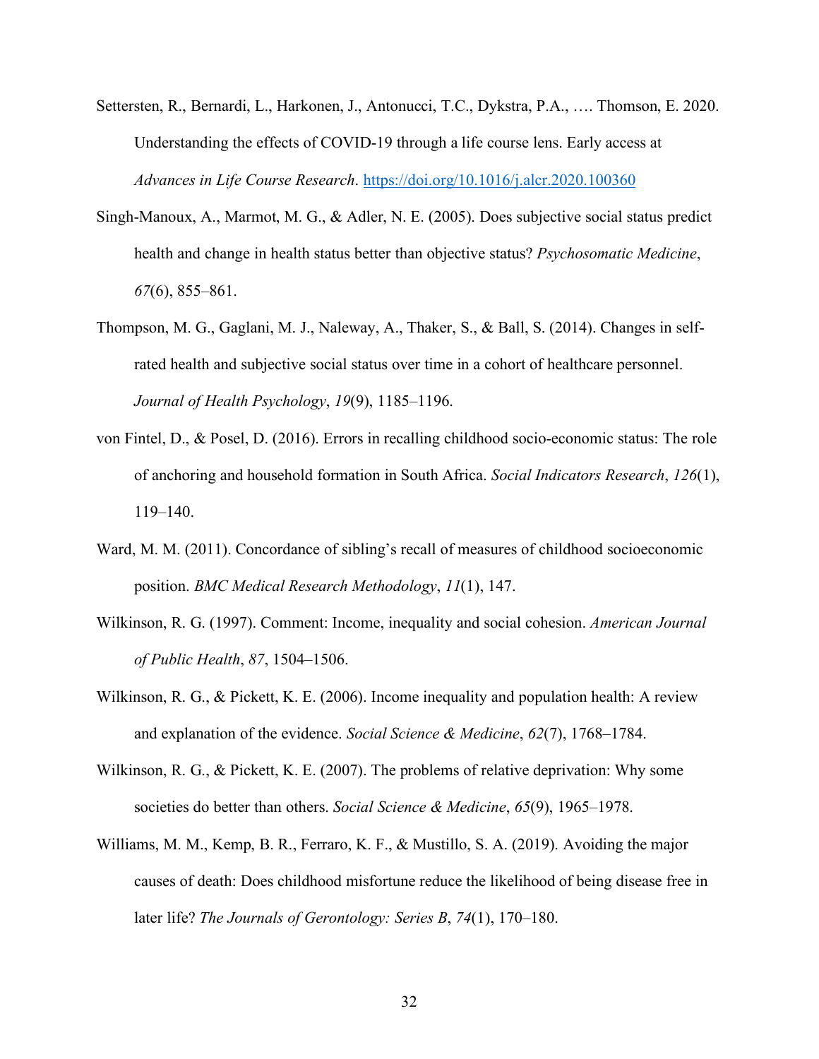- Settersten, R., Bernardi, L., Harkonen, J., Antonucci, T.C., Dykstra, P.A., …. Thomson, E. 2020. Understanding the effects of COVID-19 through a life course lens. Early access at *Advances in Life Course Research*. https://doi.org/10.1016/j.alcr.2020.100360
- Singh-Manoux, A., Marmot, M. G., & Adler, N. E. (2005). Does subjective social status predict health and change in health status better than objective status? *Psychosomatic Medicine*, *67*(6), 855–861.
- Thompson, M. G., Gaglani, M. J., Naleway, A., Thaker, S., & Ball, S. (2014). Changes in selfrated health and subjective social status over time in a cohort of healthcare personnel. *Journal of Health Psychology*, *19*(9), 1185–1196.
- von Fintel, D., & Posel, D. (2016). Errors in recalling childhood socio-economic status: The role of anchoring and household formation in South Africa. *Social Indicators Research*, *126*(1), 119–140.
- Ward, M. M. (2011). Concordance of sibling's recall of measures of childhood socioeconomic position. *BMC Medical Research Methodology*, *11*(1), 147.
- Wilkinson, R. G. (1997). Comment: Income, inequality and social cohesion. *American Journal of Public Health*, *87*, 1504–1506.
- Wilkinson, R. G., & Pickett, K. E. (2006). Income inequality and population health: A review and explanation of the evidence. *Social Science & Medicine*, *62*(7), 1768–1784.
- Wilkinson, R. G., & Pickett, K. E. (2007). The problems of relative deprivation: Why some societies do better than others. *Social Science & Medicine*, *65*(9), 1965–1978.
- Williams, M. M., Kemp, B. R., Ferraro, K. F., & Mustillo, S. A. (2019). Avoiding the major causes of death: Does childhood misfortune reduce the likelihood of being disease free in later life? *The Journals of Gerontology: Series B*, *74*(1), 170–180.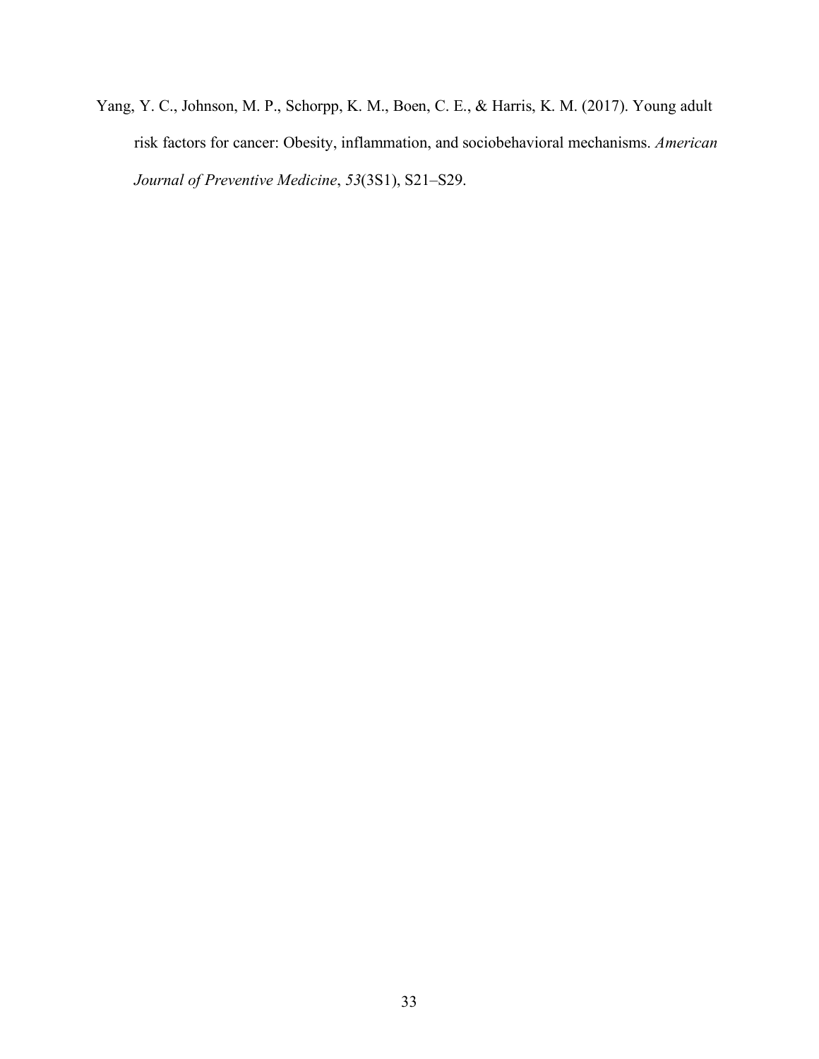Yang, Y. C., Johnson, M. P., Schorpp, K. M., Boen, C. E., & Harris, K. M. (2017). Young adult risk factors for cancer: Obesity, inflammation, and sociobehavioral mechanisms. *American Journal of Preventive Medicine*, *53*(3S1), S21–S29.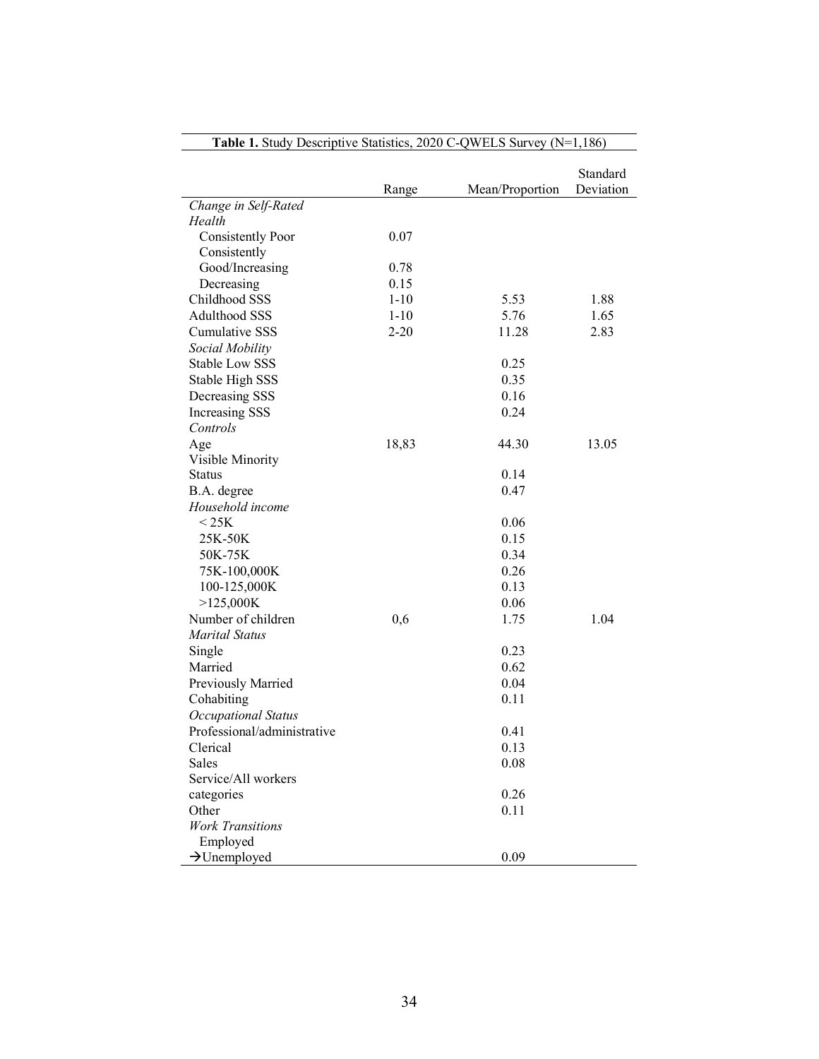|                             | Range    | Mean/Proportion | Standard<br>Deviation |
|-----------------------------|----------|-----------------|-----------------------|
| Change in Self-Rated        |          |                 |                       |
| Health                      |          |                 |                       |
| <b>Consistently Poor</b>    | 0.07     |                 |                       |
| Consistently                |          |                 |                       |
| Good/Increasing             | 0.78     |                 |                       |
| Decreasing                  | 0.15     |                 |                       |
| Childhood SSS               | $1 - 10$ | 5.53            | 1.88                  |
| <b>Adulthood SSS</b>        | $1 - 10$ | 5.76            | 1.65                  |
| <b>Cumulative SSS</b>       | $2 - 20$ | 11.28           | 2.83                  |
| Social Mobility             |          |                 |                       |
| <b>Stable Low SSS</b>       |          | 0.25            |                       |
| Stable High SSS             |          | 0.35            |                       |
| Decreasing SSS              |          | 0.16            |                       |
| Increasing SSS              |          | 0.24            |                       |
| Controls                    |          |                 |                       |
| Age                         | 18,83    | 44.30           | 13.05                 |
| Visible Minority            |          |                 |                       |
| <b>Status</b>               |          | 0.14            |                       |
| B.A. degree                 |          | 0.47            |                       |
| Household income            |          |                 |                       |
| $<$ 25K                     |          | 0.06            |                       |
| 25K-50K                     |          | 0.15            |                       |
| 50K-75K                     |          | 0.34            |                       |
| 75K-100,000K                |          | 0.26            |                       |
| 100-125,000K                |          | 0.13            |                       |
| >125,000K                   |          | 0.06            |                       |
| Number of children          | 0,6      | 1.75            | 1.04                  |
| <b>Marital Status</b>       |          |                 |                       |
| Single                      |          | 0.23            |                       |
| Married                     |          | 0.62            |                       |
| Previously Married          |          | 0.04            |                       |
| Cohabiting                  |          | 0.11            |                       |
| <b>Occupational Status</b>  |          |                 |                       |
| Professional/administrative |          | 0.41            |                       |
| Clerical                    |          | 0.13            |                       |
| Sales                       |          | 0.08            |                       |
| Service/All workers         |          |                 |                       |
| categories                  |          | 0.26            |                       |
| Other                       |          | 0.11            |                       |
| <b>Work Transitions</b>     |          |                 |                       |
| Employed                    |          |                 |                       |
| $\rightarrow$ Unemployed    |          | 0.09            |                       |

## **Table 1.** Study Descriptive Statistics, 2020 C-QWELS Survey (N=1,186)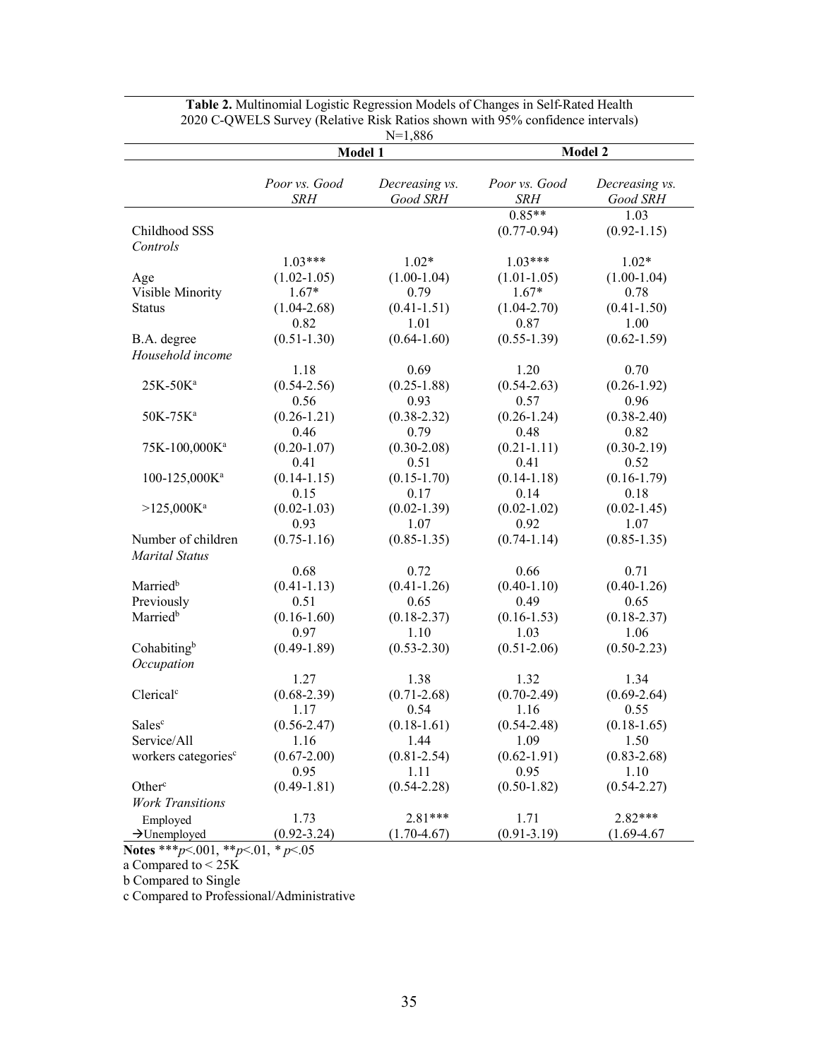|                                 | T 4<br>1,000<br>Model 1     |                            | Model 2                     |                            |
|---------------------------------|-----------------------------|----------------------------|-----------------------------|----------------------------|
|                                 |                             |                            |                             |                            |
|                                 | Poor vs. Good<br><b>SRH</b> | Decreasing vs.<br>Good SRH | Poor vs. Good<br><b>SRH</b> | Decreasing vs.<br>Good SRH |
|                                 |                             |                            | $0.85**$                    | 1.03                       |
| Childhood SSS                   |                             |                            | $(0.77 - 0.94)$             | $(0.92 - 1.15)$            |
| Controls                        |                             |                            |                             |                            |
|                                 | $1.03***$                   | $1.02*$                    | $1.03***$                   | $1.02*$                    |
| Age                             | $(1.02 - 1.05)$             | $(1.00-1.04)$              | $(1.01-1.05)$               | $(1.00-1.04)$              |
| Visible Minority                | $1.67*$                     | 0.79                       | $1.67*$                     | 0.78                       |
| <b>Status</b>                   | $(1.04 - 2.68)$             | $(0.41 - 1.51)$            | $(1.04 - 2.70)$             | $(0.41 - 1.50)$            |
|                                 | 0.82                        | 1.01                       | 0.87                        | 1.00                       |
| B.A. degree                     | $(0.51 - 1.30)$             | $(0.64-1.60)$              | $(0.55 - 1.39)$             | $(0.62 - 1.59)$            |
| Household income                |                             |                            |                             |                            |
|                                 | 1.18                        | 0.69                       | 1.20                        | 0.70                       |
| 25K-50K <sup>a</sup>            | $(0.54 - 2.56)$             | $(0.25 - 1.88)$            | $(0.54 - 2.63)$             | $(0.26 - 1.92)$            |
|                                 | 0.56                        | 0.93                       | 0.57                        | 0.96                       |
| 50K-75K <sup>a</sup>            | $(0.26 - 1.21)$             | $(0.38 - 2.32)$            | $(0.26 - 1.24)$             | $(0.38 - 2.40)$            |
|                                 | 0.46                        | 0.79                       | 0.48                        | 0.82                       |
| 75K-100,000Ka                   | $(0.20 - 1.07)$             | $(0.30-2.08)$              | $(0.21 - 1.11)$             | $(0.30-2.19)$              |
|                                 | 0.41                        | 0.51                       | 0.41                        | 0.52                       |
| 100-125,000Ka                   | $(0.14 - 1.15)$             | $(0.15 - 1.70)$            | $(0.14 - 1.18)$             | $(0.16 - 1.79)$            |
|                                 | 0.15                        | 0.17                       | 0.14                        | 0.18                       |
| $>125,000K$ <sup>a</sup>        | $(0.02 - 1.03)$<br>0.93     | $(0.02 - 1.39)$<br>1.07    | $(0.02 - 1.02)$<br>0.92     | $(0.02 - 1.45)$<br>1.07    |
| Number of children              | $(0.75 - 1.16)$             | $(0.85 - 1.35)$            | $(0.74-1.14)$               | $(0.85 - 1.35)$            |
| <b>Marital Status</b>           |                             |                            |                             |                            |
|                                 | 0.68                        | 0.72                       | 0.66                        | 0.71                       |
| Married <sup>b</sup>            | $(0.41 - 1.13)$             | $(0.41 - 1.26)$            | $(0.40 - 1.10)$             | $(0.40 - 1.26)$            |
| Previously                      | 0.51                        | 0.65                       | 0.49                        | 0.65                       |
| Married <sup>b</sup>            | $(0.16 - 1.60)$             | $(0.18 - 2.37)$            | $(0.16 - 1.53)$             | $(0.18 - 2.37)$            |
|                                 | 0.97                        | 1.10                       | 1.03                        | 1.06                       |
| Cohabitingb                     | $(0.49-1.89)$               | $(0.53 - 2.30)$            | $(0.51-2.06)$               | $(0.50 - 2.23)$            |
| Occupation                      |                             |                            |                             |                            |
|                                 | 1.27                        | 1.38                       | 1.32                        | 1.34                       |
| Clerical <sup>c</sup>           | $(0.68 - 2.39)$             | $(0.71 - 2.68)$            | $(0.70 - 2.49)$             | $(0.69-2.64)$              |
|                                 | 1.17                        | 0.54                       | 1.16                        | 0.55                       |
| Salesc                          | $(0.56 - 2.47)$             | $(0.18-1.61)$              | $(0.54 - 2.48)$             | $(0.18-1.65)$              |
| Service/All                     | 1.16                        | 1.44                       | 1.09                        | 1.50                       |
| workers categories <sup>c</sup> | $(0.67 - 2.00)$             | $(0.81 - 2.54)$            | $(0.62 - 1.91)$             | $(0.83 - 2.68)$            |
|                                 | 0.95                        | 1.11                       | 0.95                        | 1.10                       |
| Other <sup>c</sup>              | $(0.49 - 1.81)$             | $(0.54 - 2.28)$            | $(0.50 - 1.82)$             | $(0.54 - 2.27)$            |
| <b>Work Transitions</b>         |                             |                            |                             |                            |
| Employed                        | 1.73                        | $2.81***$                  | 1.71                        | 2.82***                    |
| $\rightarrow$ Unemployed        | $(0.92 - 3.24)$             | $(1.70 - 4.67)$            | $(0.91 - 3.19)$             | $(1.69 - 4.67)$            |

**Table 2.** Multinomial Logistic Regression Models of Changes in Self-Rated Health 2020 C-QWELS Survey (Relative Risk Ratios shown with 95% confidence intervals) N=1,886

 **Notes** \*\*\**p*<.001, \*\**p*<.01, *\* p*<.05

a Compared to < 25K

b Compared to Single

c Compared to Professional/Administrative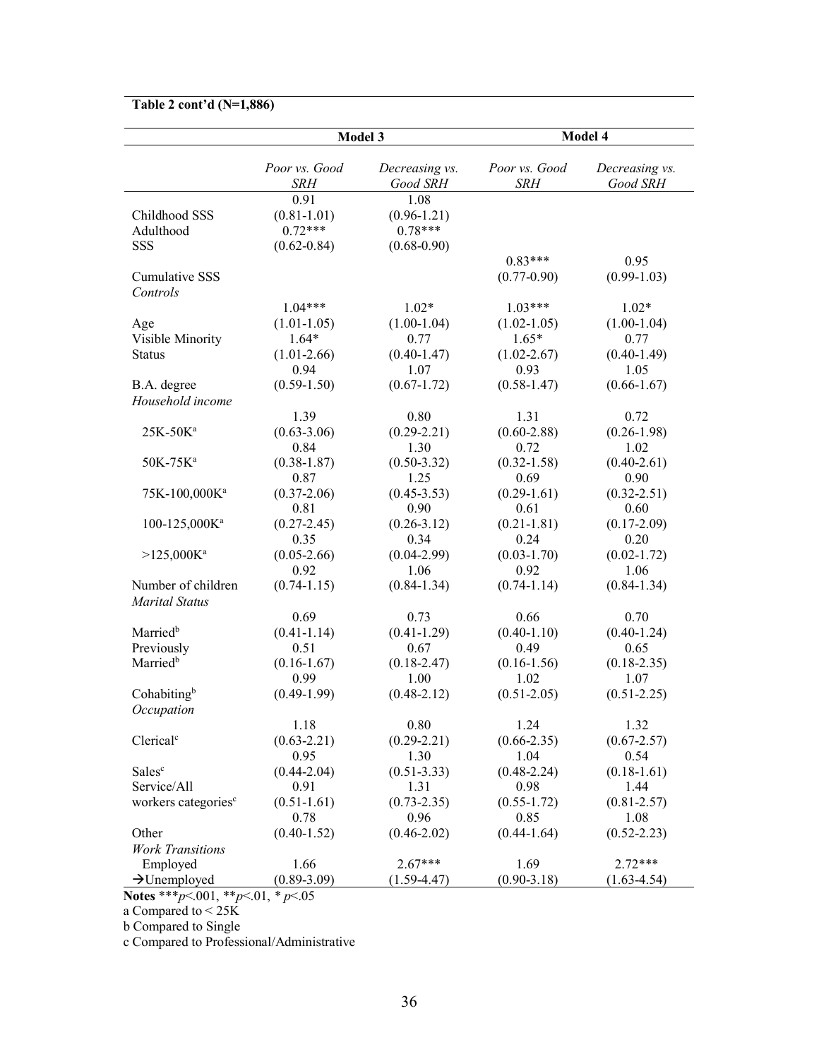| Table 2 cont'd (N=1,886)                            |                                |                            |                             |                            |
|-----------------------------------------------------|--------------------------------|----------------------------|-----------------------------|----------------------------|
|                                                     | Model 3                        |                            | Model 4                     |                            |
|                                                     | Poor vs. Good<br>SRH           | Decreasing vs.<br>Good SRH | Poor vs. Good<br><b>SRH</b> | Decreasing vs.<br>Good SRH |
|                                                     | 0.91                           | 1.08                       |                             |                            |
| Childhood SSS                                       | $(0.81 - 1.01)$                | $(0.96 - 1.21)$            |                             |                            |
| Adulthood                                           | $0.72***$                      | $0.78***$                  |                             |                            |
| SSS                                                 | $(0.62 - 0.84)$                | $(0.68 - 0.90)$            |                             |                            |
|                                                     |                                |                            | $0.83***$                   | 0.95                       |
| <b>Cumulative SSS</b>                               |                                |                            | $(0.77 - 0.90)$             | $(0.99-1.03)$              |
| Controls                                            | $1.04***$                      | $1.02*$                    | $1.03***$                   | $1.02*$                    |
| Age                                                 | $(1.01-1.05)$                  | $(1.00-1.04)$              | $(1.02 - 1.05)$             | $(1.00-1.04)$              |
| Visible Minority                                    | $1.64*$                        | 0.77                       | $1.65*$                     | 0.77                       |
| <b>Status</b>                                       | $(1.01-2.66)$                  | $(0.40 - 1.47)$            | $(1.02 - 2.67)$             | $(0.40-1.49)$              |
|                                                     | 0.94                           | 1.07                       | 0.93                        | 1.05                       |
| B.A. degree                                         | $(0.59 - 1.50)$                | $(0.67 - 1.72)$            | $(0.58 - 1.47)$             | $(0.66 - 1.67)$            |
| Household income                                    |                                |                            |                             |                            |
|                                                     | 1.39                           | 0.80                       | 1.31                        | 0.72                       |
| 25K-50Ka                                            | $(0.63 - 3.06)$                | $(0.29 - 2.21)$            | $(0.60-2.88)$               | $(0.26 - 1.98)$            |
|                                                     | 0.84                           | 1.30                       | 0.72                        | 1.02                       |
| 50K-75K <sup>a</sup>                                | $(0.38 - 1.87)$                | $(0.50 - 3.32)$            | $(0.32 - 1.58)$             | $(0.40 - 2.61)$            |
|                                                     | 0.87                           | 1.25                       | 0.69                        | 0.90                       |
| 75K-100,000Ka                                       | $(0.37 - 2.06)$                | $(0.45 - 3.53)$            | $(0.29-1.61)$               | $(0.32 - 2.51)$            |
|                                                     | 0.81                           | 0.90                       | 0.61                        | 0.60                       |
| $100 - 125,000K^a$                                  | $(0.27 - 2.45)$                | $(0.26 - 3.12)$            | $(0.21 - 1.81)$             | $(0.17-2.09)$              |
|                                                     | 0.35                           | 0.34                       | 0.24                        | 0.20                       |
| $>125,000K$ <sup>a</sup>                            | $(0.05-2.66)$                  | $(0.04-2.99)$              | $(0.03 - 1.70)$             | $(0.02 - 1.72)$            |
|                                                     | 0.92                           | 1.06                       | 0.92                        | 1.06                       |
| Number of children                                  | $(0.74 - 1.15)$                | $(0.84 - 1.34)$            | $(0.74-1.14)$               | $(0.84 - 1.34)$            |
| <b>Marital Status</b>                               |                                |                            |                             |                            |
|                                                     | 0.69                           | 0.73                       | 0.66                        | 0.70                       |
| Married <sup>b</sup>                                | $(0.41 - 1.14)$                | $(0.41 - 1.29)$            | $(0.40 - 1.10)$             | $(0.40 - 1.24)$            |
| Previously                                          | 0.51                           | 0.67                       | 0.49                        | 0.65                       |
| Married <sup>b</sup>                                | $(0.16 - 1.67)$                | $(0.18 - 2.47)$            | $(0.16 - 1.56)$             | $(0.18 - 2.35)$            |
|                                                     | 0.99                           | 1.00                       | 1.02                        | 1.07                       |
| Cohabitingb                                         | $(0.49-1.99)$                  | $(0.48 - 2.12)$            | $(0.51 - 2.05)$             | $(0.51 - 2.25)$            |
| Occupation                                          |                                |                            |                             |                            |
|                                                     | 1.18                           | 0.80                       | 1.24                        | 1.32                       |
| Clerical <sup>c</sup>                               | $(0.63 - 2.21)$                | $(0.29 - 2.21)$            | $(0.66 - 2.35)$             | $(0.67 - 2.57)$            |
|                                                     | 0.95                           | 1.30                       | 1.04                        | 0.54                       |
| Salesc                                              | $(0.44 - 2.04)$                | $(0.51 - 3.33)$            | $(0.48 - 2.24)$             | $(0.18-1.61)$              |
| Service/All                                         | 0.91                           | 1.31                       | 0.98                        | 1.44                       |
| workers categories <sup>c</sup>                     | $(0.51 - 1.61)$                | $(0.73 - 2.35)$            | $(0.55 - 1.72)$             | $(0.81 - 2.57)$            |
|                                                     | 0.78                           | 0.96                       | 0.85                        | 1.08                       |
| Other                                               | $(0.40 - 1.52)$                | $(0.46 - 2.02)$            | $(0.44-1.64)$               | $(0.52 - 2.23)$            |
| <b>Work Transitions</b>                             |                                |                            |                             |                            |
| Employed                                            | 1.66                           | $2.67***$                  | 1.69                        | $2.72***$                  |
| $\rightarrow$ Unemployed<br>Notes $***n001$ $**n01$ | $(0.89 - 3.09)$<br>* $n < 0.5$ | $(1.59-4.47)$              | $(0.90 - 3.18)$             | $(1.63 - 4.54)$            |

 **Notes** \*\*\**p*<.001, \*\**p*<.01, *\* p*<.05

a Compared to < 25K

b Compared to Single

c Compared to Professional/Administrative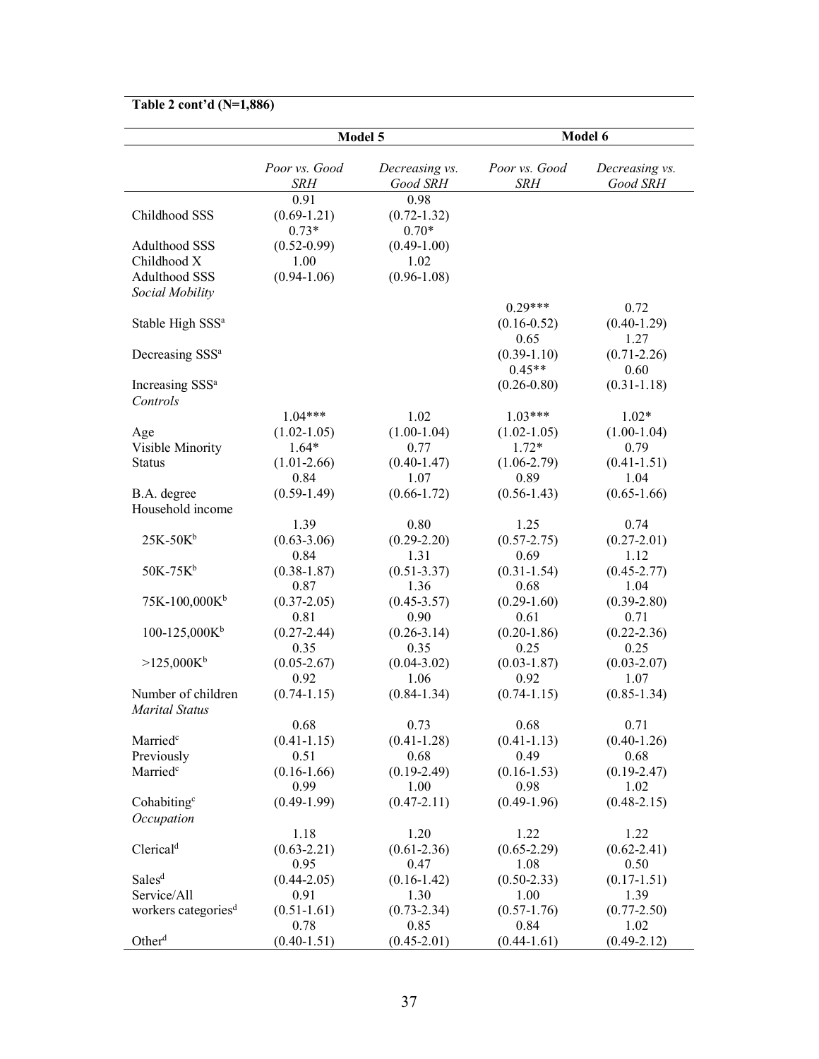## **Table 2 cont'd (N=1,886)**

|                                         | Model 5                            |                                    | Model 6                     |                            |  |
|-----------------------------------------|------------------------------------|------------------------------------|-----------------------------|----------------------------|--|
|                                         | Poor vs. Good<br>SRH               | Decreasing vs.<br>Good SRH         | Poor vs. Good<br><b>SRH</b> | Decreasing vs.<br>Good SRH |  |
| Childhood SSS                           | 0.91<br>$(0.69 - 1.21)$<br>$0.73*$ | 0.98<br>$(0.72 - 1.32)$<br>$0.70*$ |                             |                            |  |
| <b>Adulthood SSS</b>                    | $(0.52 - 0.99)$                    | $(0.49-1.00)$                      |                             |                            |  |
| Childhood X                             | 1.00                               | 1.02                               |                             |                            |  |
| <b>Adulthood SSS</b>                    | $(0.94-1.06)$                      | $(0.96 - 1.08)$                    |                             |                            |  |
| Social Mobility                         |                                    |                                    |                             |                            |  |
|                                         |                                    |                                    | $0.29***$                   | 0.72                       |  |
| Stable High SSS <sup>a</sup>            |                                    |                                    | $(0.16 - 0.52)$             | $(0.40-1.29)$              |  |
|                                         |                                    |                                    | 0.65                        | 1.27                       |  |
| Decreasing SSS <sup>a</sup>             |                                    |                                    | $(0.39-1.10)$               | $(0.71 - 2.26)$            |  |
|                                         |                                    |                                    | $0.45**$                    | 0.60                       |  |
| Increasing SSS <sup>a</sup><br>Controls |                                    |                                    | $(0.26 - 0.80)$             | $(0.31 - 1.18)$            |  |
|                                         | $1.04***$                          | 1.02                               | $1.03***$                   | $1.02*$                    |  |
| Age                                     | $(1.02 - 1.05)$                    | $(1.00-1.04)$                      | $(1.02 - 1.05)$             | $(1.00-1.04)$              |  |
| Visible Minority                        | $1.64*$                            | 0.77                               | $1.72*$                     | 0.79                       |  |
| <b>Status</b>                           | $(1.01-2.66)$                      | $(0.40 - 1.47)$                    | $(1.06 - 2.79)$             | $(0.41 - 1.51)$            |  |
|                                         | 0.84                               | 1.07                               | 0.89                        | 1.04                       |  |
| B.A. degree                             | $(0.59 - 1.49)$                    | $(0.66 - 1.72)$                    | $(0.56 - 1.43)$             | $(0.65-1.66)$              |  |
| Household income                        |                                    |                                    |                             |                            |  |
|                                         | 1.39                               | 0.80                               | 1.25                        | 0.74                       |  |
| $25K-50Kb$                              | $(0.63 - 3.06)$                    | $(0.29 - 2.20)$                    | $(0.57 - 2.75)$             | $(0.27 - 2.01)$            |  |
|                                         | 0.84                               | 1.31                               | 0.69                        | 1.12                       |  |
| $50K-75K^b$                             | $(0.38 - 1.87)$                    | $(0.51 - 3.37)$                    | $(0.31 - 1.54)$             | $(0.45 - 2.77)$            |  |
|                                         | 0.87                               | 1.36                               | 0.68                        | 1.04                       |  |
| $75K-100,000K^b$                        | $(0.37 - 2.05)$                    | $(0.45 - 3.57)$                    | $(0.29-1.60)$               | $(0.39-2.80)$              |  |
|                                         | 0.81                               | 0.90                               | 0.61                        | 0.71                       |  |
| $100-125,000K^b$                        | $(0.27 - 2.44)$                    | $(0.26 - 3.14)$                    | $(0.20-1.86)$               | $(0.22 - 2.36)$            |  |
|                                         | 0.35                               | 0.35                               | 0.25                        | 0.25                       |  |
| $>125,000K^b$                           | $(0.05 - 2.67)$                    | $(0.04 - 3.02)$                    | $(0.03 - 1.87)$             | $(0.03 - 2.07)$            |  |
|                                         | 0.92                               | 1.06                               | 0.92                        | 1.07                       |  |
| Number of children                      | $(0.74 - 1.15)$                    | $(0.84 - 1.34)$                    | $(0.74 - 1.15)$             | $(0.85 - 1.34)$            |  |
| <b>Marital Status</b>                   | 0.68                               | 0.73                               | 0.68                        | 0.71                       |  |
| Married <sup>c</sup>                    | $(0.41 - 1.15)$                    | $(0.41 - 1.28)$                    | $(0.41 - 1.13)$             | $(0.40-1.26)$              |  |
| Previously                              | 0.51                               | 0.68                               | 0.49                        | 0.68                       |  |
| Married <sup>c</sup>                    | $(0.16-1.66)$                      | $(0.19-2.49)$                      | $(0.16 - 1.53)$             | $(0.19-2.47)$              |  |
|                                         | 0.99                               | 1.00                               | 0.98                        | 1.02                       |  |
| Cohabiting <sup>c</sup>                 | $(0.49-1.99)$                      | $(0.47 - 2.11)$                    | $(0.49-1.96)$               | $(0.48 - 2.15)$            |  |
| Occupation                              |                                    |                                    |                             |                            |  |
|                                         | 1.18                               | 1.20                               | 1.22                        | 1.22                       |  |
| Clerical <sup>d</sup>                   | $(0.63 - 2.21)$                    | $(0.61 - 2.36)$                    | $(0.65 - 2.29)$             | $(0.62 - 2.41)$            |  |
|                                         | 0.95                               | 0.47                               | 1.08                        | 0.50                       |  |
| Sales <sup>d</sup>                      | $(0.44 - 2.05)$                    | $(0.16 - 1.42)$                    | $(0.50-2.33)$               | $(0.17 - 1.51)$            |  |
| Service/All                             | 0.91                               | 1.30                               | 1.00                        | 1.39                       |  |
| workers categories <sup>d</sup>         | $(0.51 - 1.61)$                    | $(0.73 - 2.34)$                    | $(0.57 - 1.76)$             | $(0.77 - 2.50)$            |  |
|                                         | 0.78                               | 0.85                               | 0.84                        | 1.02                       |  |
| Other <sup>d</sup>                      | $(0.40 - 1.51)$                    | $(0.45-2.01)$                      | $(0.44-1.61)$               | $(0.49 - 2.12)$            |  |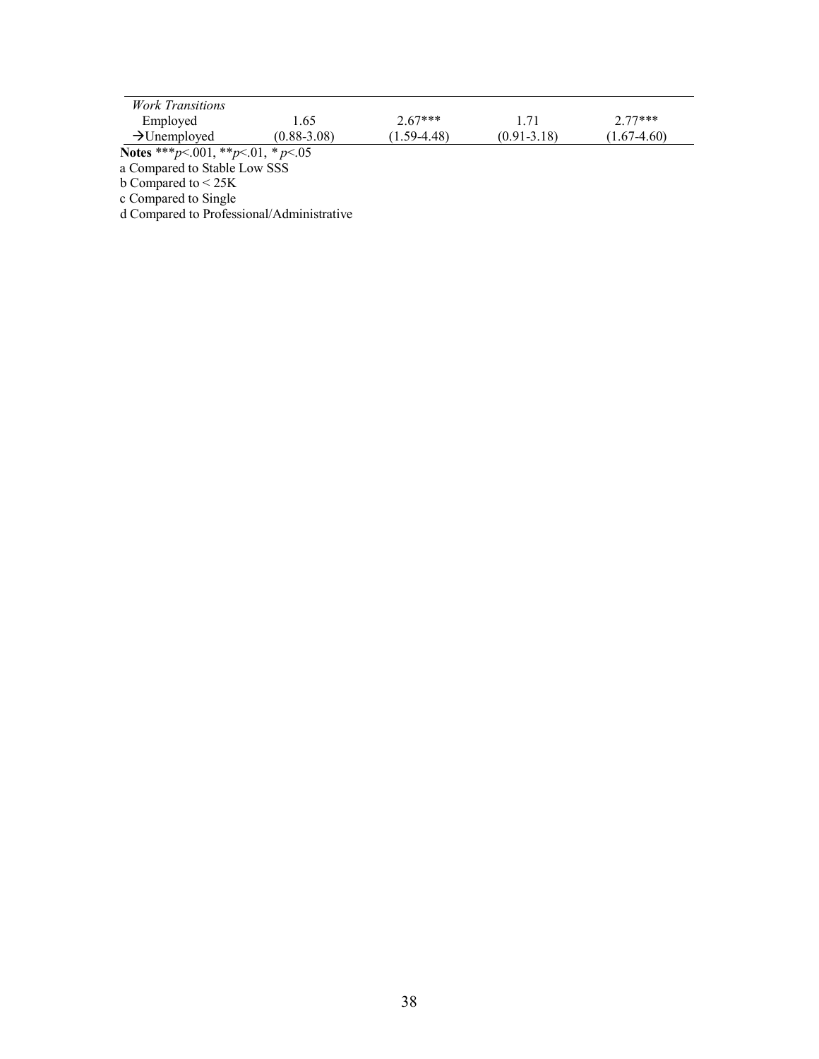| <i>Work Transitions</i>  |                 |                 |                 |                 |
|--------------------------|-----------------|-----------------|-----------------|-----------------|
| Employed                 | .65             | $2.67***$       |                 | $2.77***$       |
| $\rightarrow$ Unemployed | $(0.88 - 3.08)$ | $(1.59 - 4.48)$ | $(0.91 - 3.18)$ | $(1.67 - 4.60)$ |

a Compared to Stable Low SSS

b Compared to < 25K

c Compared to Single

d Compared to Professional/Administrative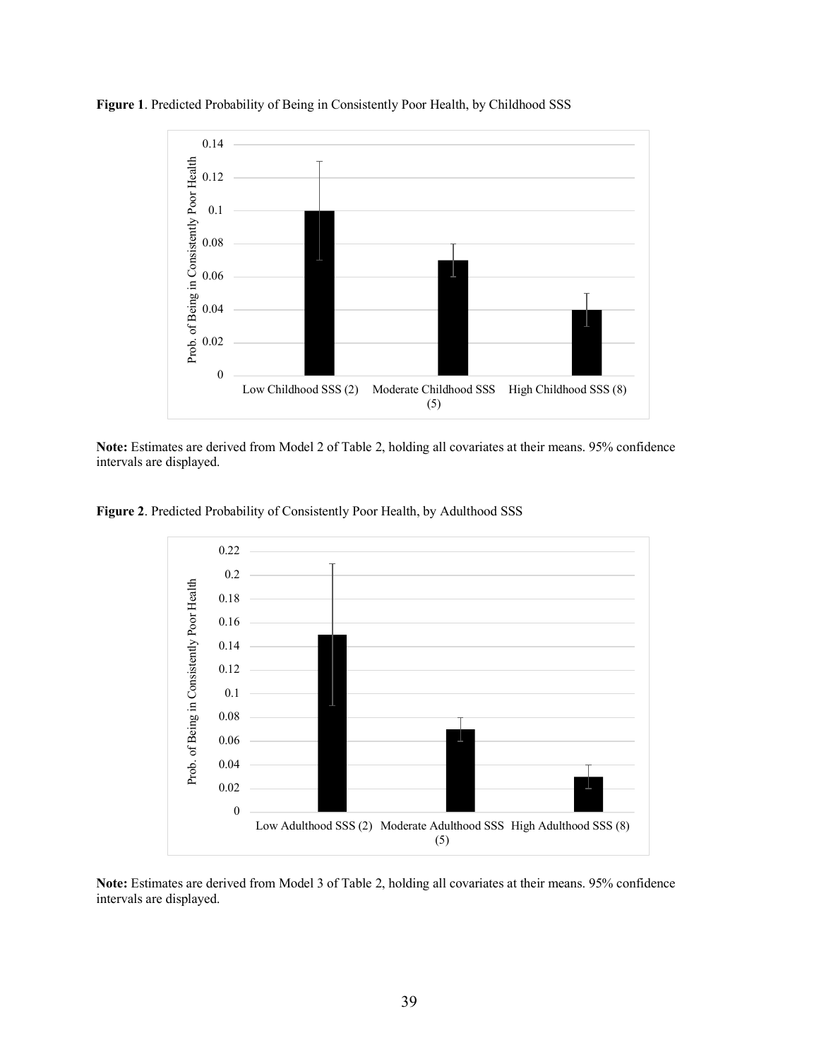

**Figure 1**. Predicted Probability of Being in Consistently Poor Health, by Childhood SSS

**Note:** Estimates are derived from Model 2 of Table 2, holding all covariates at their means. 95% confidence intervals are displayed.

**Figure 2**. Predicted Probability of Consistently Poor Health, by Adulthood SSS



**Note:** Estimates are derived from Model 3 of Table 2, holding all covariates at their means. 95% confidence intervals are displayed.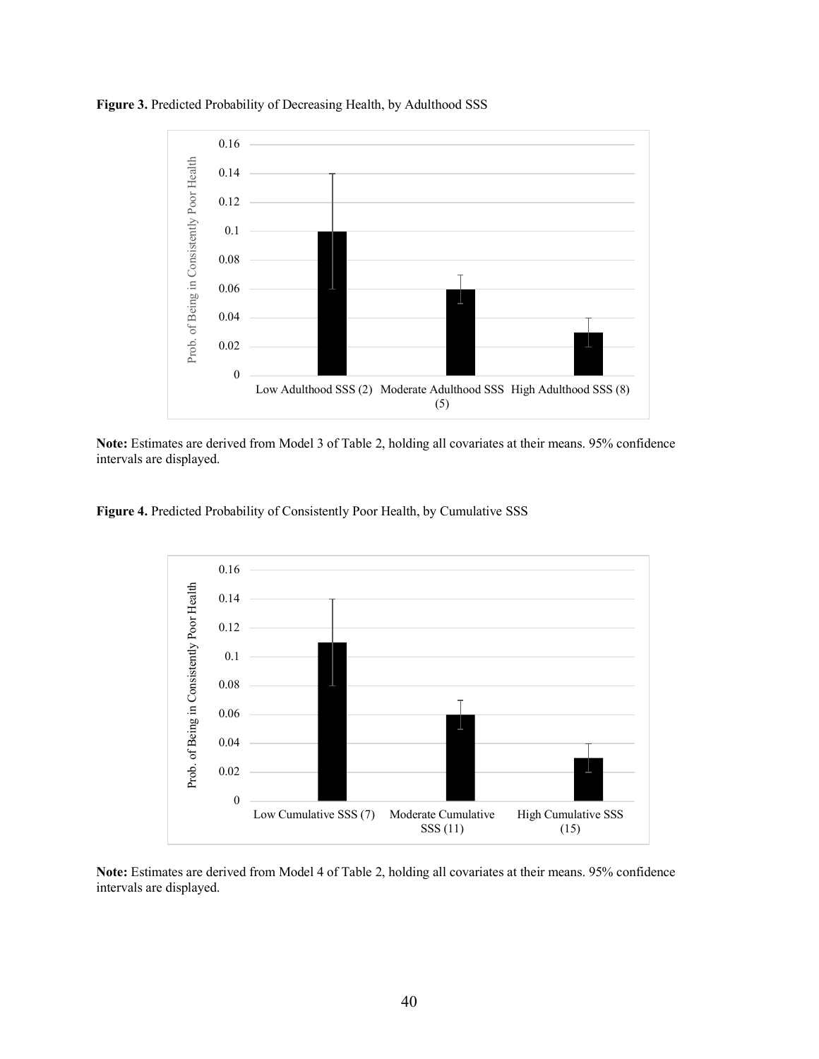



**Note:** Estimates are derived from Model 3 of Table 2, holding all covariates at their means. 95% confidence intervals are displayed.

**Figure 4.** Predicted Probability of Consistently Poor Health, by Cumulative SSS



**Note:** Estimates are derived from Model 4 of Table 2, holding all covariates at their means. 95% confidence intervals are displayed.